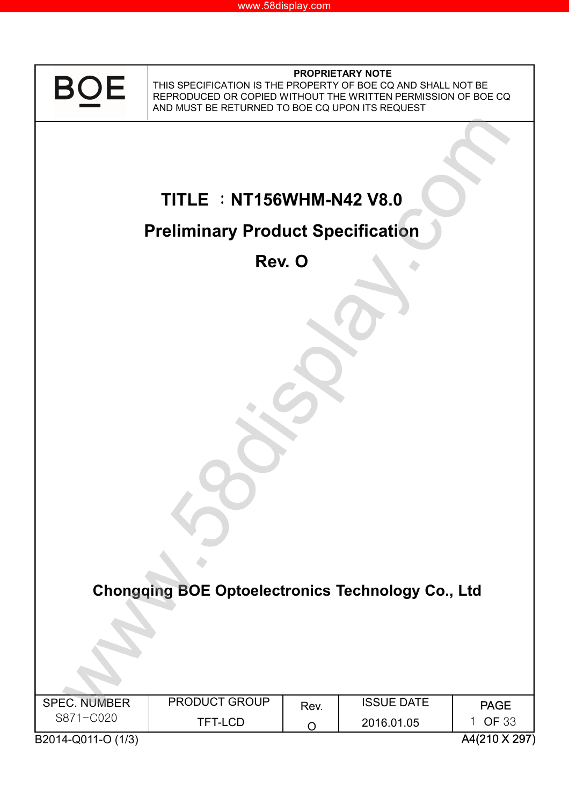

#### **PROPRIETARY NOTE**

THIS SPECIFICATION IS THE PROPERTY OF BOE CQ AND SHALL NOT BE REPRODUCED OR COPIED WITHOUT THE WRITTEN PERMISSION OF BOE CQ AND MUST BE RETURNED TO BOE CQ UPON ITS REQUEST

۸

# **TITLE** :**NT156WHM-N42 V8.0**

# **Preliminary Product Specification**

**Rev. O**

**Chongqing BOE Optoelectronics Technology Co., Ltd**

| <b>SPEC. NUMBER</b> | <b>PRODUCT GROUP</b> | Rev. | <b>ISSUE DATE</b> | <b>PAGE</b>  |
|---------------------|----------------------|------|-------------------|--------------|
| S871-C020           | <b>TFT-LCD</b>       |      | 2016.01.05        | <b>OF 33</b> |
|                     |                      |      |                   | $\cdots$     |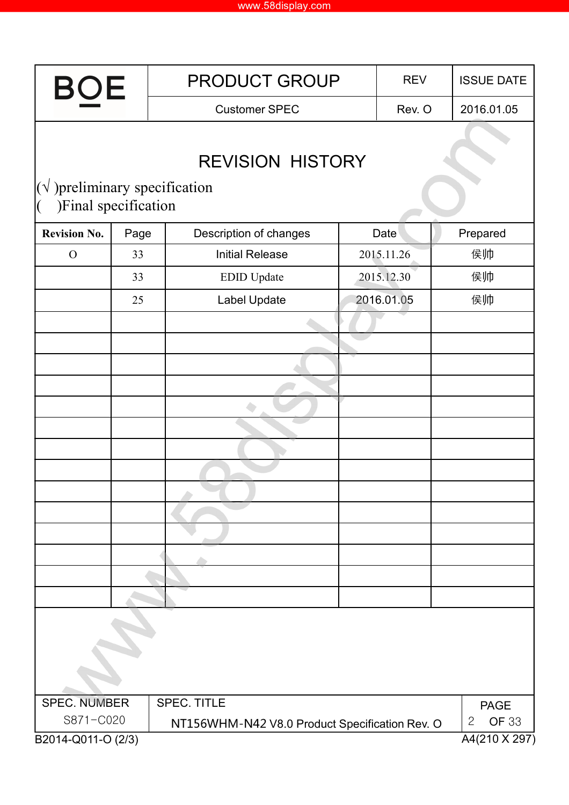| <b>BOE</b>                                                       |      | <b>PRODUCT GROUP</b>                           | <b>REV</b> | <b>ISSUE DATE</b>                             |  |
|------------------------------------------------------------------|------|------------------------------------------------|------------|-----------------------------------------------|--|
|                                                                  |      | <b>Customer SPEC</b>                           | Rev. O     | 2016.01.05                                    |  |
| $(\sqrt{\ }$ ) preliminary specification<br>)Final specification |      | <b>REVISION HISTORY</b>                        |            |                                               |  |
| <b>Revision No.</b>                                              | Page | Description of changes                         | Date       | Prepared                                      |  |
| $\mathcal{O}$                                                    | 33   | <b>Initial Release</b>                         | 2015.11.26 | 侯帅                                            |  |
|                                                                  | 33   | <b>EDID</b> Update                             | 2015.12.30 | 侯帅                                            |  |
|                                                                  | 25   | Label Update                                   | 2016.01.05 | 侯帅                                            |  |
|                                                                  |      |                                                |            |                                               |  |
|                                                                  |      |                                                |            |                                               |  |
|                                                                  |      |                                                |            |                                               |  |
|                                                                  |      |                                                |            |                                               |  |
|                                                                  |      |                                                |            |                                               |  |
|                                                                  |      |                                                |            |                                               |  |
|                                                                  |      |                                                |            |                                               |  |
|                                                                  |      |                                                |            |                                               |  |
|                                                                  |      |                                                |            |                                               |  |
|                                                                  |      |                                                |            |                                               |  |
|                                                                  |      |                                                |            |                                               |  |
|                                                                  |      |                                                |            |                                               |  |
|                                                                  |      |                                                |            |                                               |  |
|                                                                  |      |                                                |            |                                               |  |
|                                                                  |      |                                                |            |                                               |  |
| <b>SPEC. NUMBER</b>                                              |      | <b>SPEC. TITLE</b>                             |            | <b>PAGE</b>                                   |  |
| S871-C020<br>B2014-Q011-O (2/3)                                  |      | NT156WHM-N42 V8.0 Product Specification Rev. O |            | <b>OF 33</b><br>$\mathbf{2}$<br>A4(210 X 297) |  |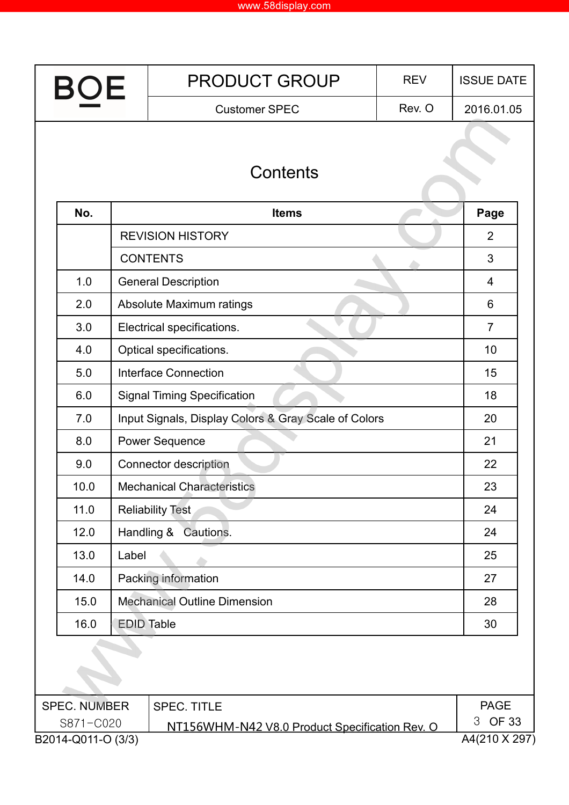| <b>BOE</b>          |                   | <b>PRODUCT GROUP</b>                                 | <b>REV</b> | <b>ISSUE DATE</b> |
|---------------------|-------------------|------------------------------------------------------|------------|-------------------|
|                     |                   | <b>Customer SPEC</b>                                 | Rev. O     | 2016.01.05        |
|                     |                   |                                                      |            |                   |
|                     |                   | <b>Contents</b>                                      |            |                   |
| No.                 |                   | <b>Items</b>                                         |            | Page              |
|                     |                   | <b>REVISION HISTORY</b>                              |            | $\overline{2}$    |
|                     |                   | <b>CONTENTS</b>                                      |            | 3                 |
| 1.0                 |                   | <b>General Description</b>                           |            | 4                 |
| 2.0                 |                   | Absolute Maximum ratings                             |            | 6                 |
| 3.0                 |                   | Electrical specifications.                           |            | $\overline{7}$    |
| 4.0                 |                   | Optical specifications.                              |            | 10                |
| 5.0                 |                   | <b>Interface Connection</b>                          |            | 15                |
| 6.0                 |                   | <b>Signal Timing Specification</b>                   |            | 18                |
| 7.0                 |                   | Input Signals, Display Colors & Gray Scale of Colors |            | 20                |
| 8.0                 |                   | <b>Power Sequence</b>                                |            | 21                |
| 9.0                 |                   | <b>Connector description</b>                         |            | 22                |
| 10.0                |                   | <b>Mechanical Characteristics</b>                    |            | 23                |
| 11.0                |                   | <b>Reliability Test</b>                              |            | 24                |
| 12.0                |                   | Handling &<br>Cautions.                              |            | 24                |
| 13.0                | Label             |                                                      |            | 25                |
| 14.0                |                   | Packing information                                  |            | 27                |
| 15.0                |                   | <b>Mechanical Outline Dimension</b>                  |            | 28                |
| 16.0                | <b>EDID Table</b> |                                                      |            | 30                |
|                     |                   |                                                      |            |                   |
| <b>SPEC. NUMBER</b> |                   | <b>SPEC. TITLE</b>                                   |            | <b>PAGE</b>       |
| S871-C020           |                   | NT156WHM-N42 V8.0 Product Specification Rev. O       |            | <b>OF 33</b><br>3 |
| B2014-Q011-O (3/3)  |                   |                                                      |            | A4(210 X 297)     |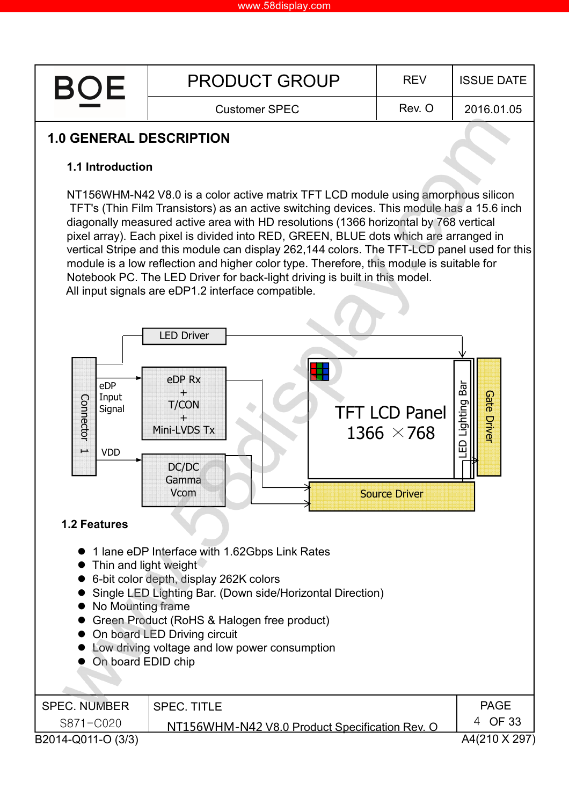

# **1.0 GENERAL DESCRIPTION**

#### **1.1 Introduction**

NT156WHM-N42 V8.0 is a color active matrix TFT LCD module using amorphous silicon TFT's (Thin Film Transistors) as an active switching devices. This module has a 15.6 inch diagonally measured active area with HD resolutions (1366 horizontal by 768 vertical pixel array). Each pixel is divided into RED, GREEN, BLUE dots which are arranged in vertical Stripe and this module can display 262,144 colors. The TFT-LCD panel used for this module is a low reflection and higher color type. Therefore, this module is suitable for Notebook PC. The LED Driver for back-light driving is built in this model. All input signals are eDP1.2 interface compatible.

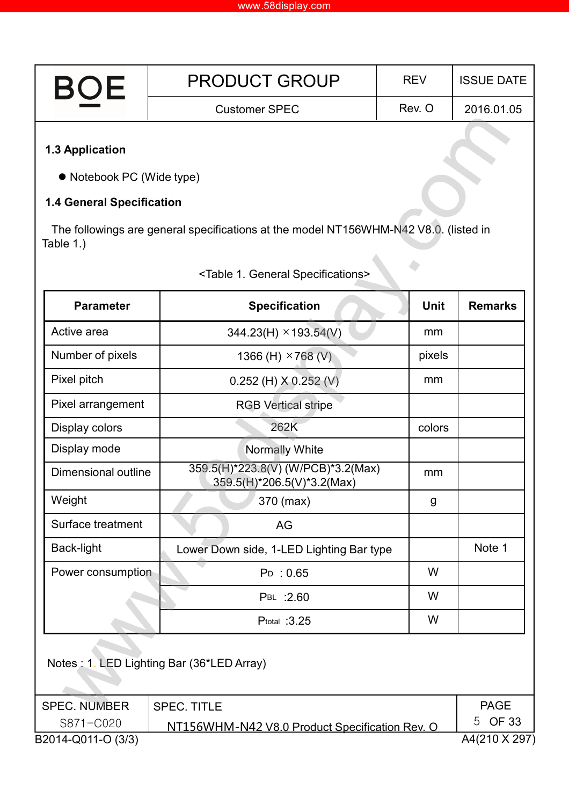| ROI | <b>PRODUCT GROUP</b> | <b>RFV</b> | <b>ISSUE DATE</b> |
|-----|----------------------|------------|-------------------|
|     | <b>Customer SPEC</b> | Rev. O     | 2016.01.05        |
|     |                      |            |                   |

#### **1.3 Application**

S871-C020

B2014-Q011-O (3/3)

Notebook PC (Wide type)

#### **1.4 General Specification**

The followings are general specifications at the model NT156WHM-N42 V8.0. (listed in Table 1.)

| <b>Parameter</b>    | <b>Specification</b>                                             | Unit   | <b>Remarks</b> |
|---------------------|------------------------------------------------------------------|--------|----------------|
| Active area         | $344.23(H) \times 193.54(V)$                                     | mm     |                |
| Number of pixels    | 1366 (H) $\times$ 768 (V)                                        | pixels |                |
| Pixel pitch         | 0.252 (H) $X$ 0.252 (V)                                          | mm     |                |
| Pixel arrangement   | <b>RGB Vertical stripe</b>                                       |        |                |
| Display colors      | 262K                                                             | colors |                |
| Display mode        | <b>Normally White</b>                                            |        |                |
| Dimensional outline | 359.5(H)*223.8(V) (W/PCB)*3.2(Max)<br>359.5(H)*206.5(V)*3.2(Max) | mm     |                |
| Weight              | 370 (max)                                                        | g      |                |
| Surface treatment   | AG                                                               |        |                |
| Back-light          | Lower Down side, 1-LED Lighting Bar type                         |        | Note 1         |
| Power consumption   | $P_{D}$ : 0.65                                                   | W      |                |
|                     | PBL : 2.60                                                       | W      |                |
|                     | Ptotal : 3.25                                                    | W      |                |
|                     | Notes: 1. LED Lighting Bar (36*LED Array)                        |        |                |
| <b>SPEC. NUMBER</b> | <b>SPEC. TITLE</b>                                               |        | <b>PAGE</b>    |

### <Table 1. General Specifications>

NT156WHM-N42 V8.0 Product Specification Rev. O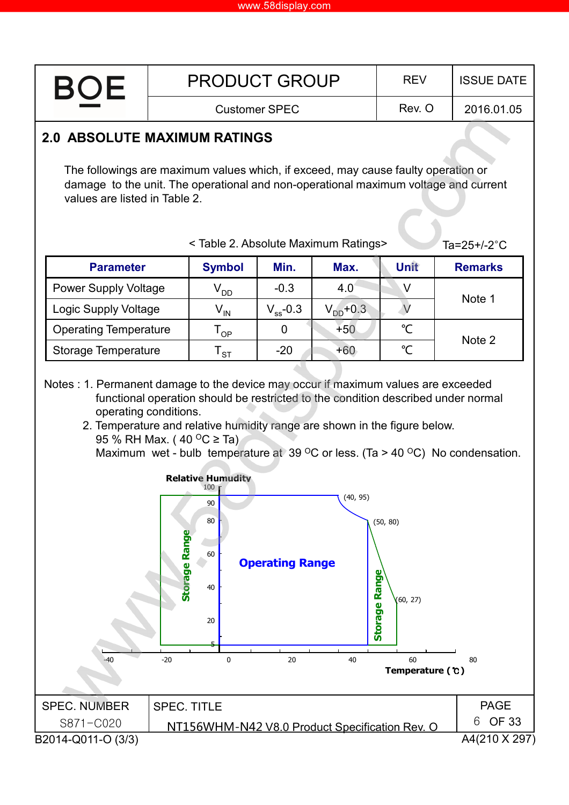

A4(210 X 297) PAGE 6 OF 33 SPEC. NUMBER S871-C020 SPEC. TITLE NT156WHM-N42 V8.0 Product Specification Rev. O B2014-Q011-O (3/3)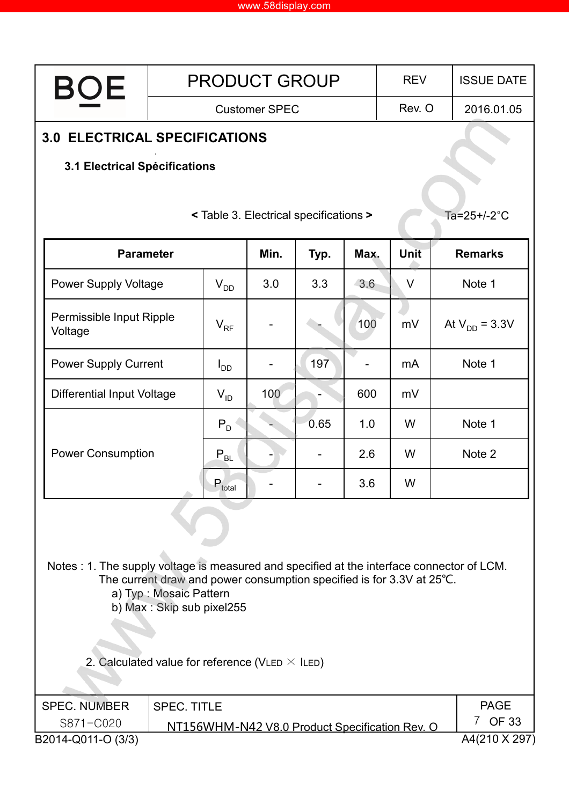| BOE                                                                                        | <b>PRODUCT GROUP</b><br><b>REV</b>                                                                                           |          |                      |                                        |      |                                                | <b>ISSUE DATE</b> |                        |
|--------------------------------------------------------------------------------------------|------------------------------------------------------------------------------------------------------------------------------|----------|----------------------|----------------------------------------|------|------------------------------------------------|-------------------|------------------------|
|                                                                                            |                                                                                                                              |          | <b>Customer SPEC</b> |                                        |      | Rev. O                                         |                   | 2016.01.05             |
| <b>3.0 ELECTRICAL SPECIFICATIONS</b>                                                       |                                                                                                                              |          |                      |                                        |      |                                                |                   |                        |
| 3.1 Electrical Specifications                                                              |                                                                                                                              |          |                      |                                        |      |                                                |                   |                        |
|                                                                                            |                                                                                                                              |          |                      |                                        |      |                                                |                   |                        |
|                                                                                            |                                                                                                                              |          |                      | < Table 3. Electrical specifications > |      |                                                |                   | Ta=25+/-2°C            |
| Min.<br><b>Parameter</b><br>Typ.<br>Max.                                                   |                                                                                                                              |          |                      |                                        | Unit |                                                | <b>Remarks</b>    |                        |
| <b>Power Supply Voltage</b>                                                                |                                                                                                                              | $V_{DD}$ | 3.0                  | 3.3                                    | 3.6  | V                                              |                   | Note 1                 |
| Permissible Input Ripple<br>Voltage                                                        |                                                                                                                              | $V_{RF}$ |                      |                                        | 100  | mV                                             |                   | At $V_{DD} = 3.3V$     |
|                                                                                            | <b>Power Supply Current</b>                                                                                                  |          |                      | 197                                    |      | mA                                             |                   | Note 1                 |
| <b>Differential Input Voltage</b>                                                          |                                                                                                                              | $V_{ID}$ | 100                  |                                        | 600  | mV                                             |                   |                        |
| <b>Power Consumption</b>                                                                   |                                                                                                                              | $P_D$    |                      | 0.65                                   | 1.0  | W                                              |                   | Note 1                 |
|                                                                                            |                                                                                                                              | $P_{BL}$ |                      |                                        | 2.6  | W                                              |                   | Note 2                 |
|                                                                                            | $P_{total}$                                                                                                                  |          |                      | 3.6                                    | W    |                                                |                   |                        |
|                                                                                            |                                                                                                                              |          |                      |                                        |      |                                                |                   |                        |
| Notes : 1. The supply voltage is measured and specified at the interface connector of LCM. | The current draw and power consumption specified is for 3.3V at 25°C.<br>a) Typ: Mosaic Pattern<br>b) Max: Skip sub pixel255 |          |                      |                                        |      |                                                |                   |                        |
| 2. Calculated value for reference (VLED $\times$ ILED)                                     |                                                                                                                              |          |                      |                                        |      |                                                |                   |                        |
| <b>SPEC. NUMBER</b>                                                                        | <b>SPEC. TITLE</b>                                                                                                           |          |                      |                                        |      |                                                |                   | <b>PAGE</b><br>7 OF 33 |
| S871-C020<br>B2014-Q011-O (3/3)                                                            |                                                                                                                              |          |                      |                                        |      | NT156WHM-N42 V8.0 Product Specification Rev. O |                   | A4(210 X 297)          |
|                                                                                            |                                                                                                                              |          |                      |                                        |      |                                                |                   |                        |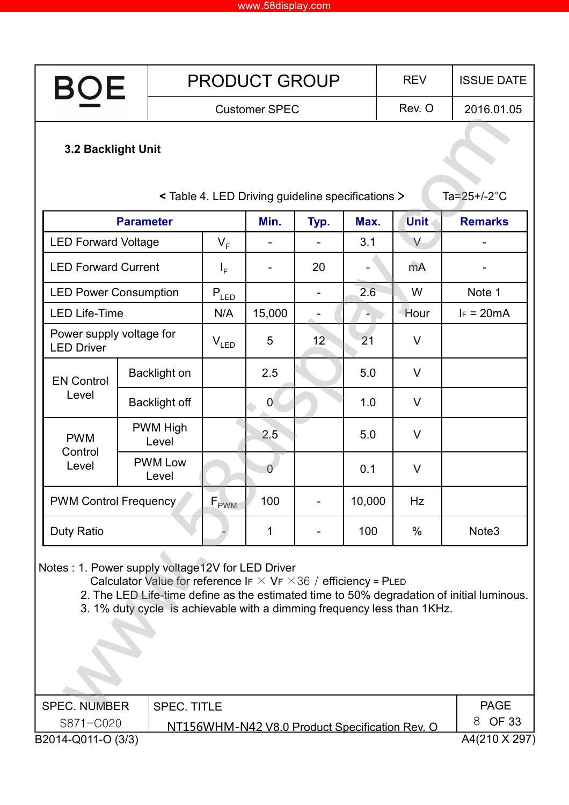| <b>BOE</b>                                       |                  |                                                                                                                                                          |                      | <b>PRODUCT GROUP</b>                              |                |        |      | <b>REV</b>        | <b>ISSUE DATE</b>                                                                         |
|--------------------------------------------------|------------------|----------------------------------------------------------------------------------------------------------------------------------------------------------|----------------------|---------------------------------------------------|----------------|--------|------|-------------------|-------------------------------------------------------------------------------------------|
|                                                  |                  |                                                                                                                                                          | <b>Customer SPEC</b> |                                                   |                |        |      | Rev. O            | 2016.01.05                                                                                |
| <b>3.2 Backlight Unit</b>                        |                  |                                                                                                                                                          |                      | < Table 4. LED Driving guideline specifications > |                |        |      |                   | Ta= $25+/-2$ °C                                                                           |
|                                                  | <b>Parameter</b> |                                                                                                                                                          |                      | Min.                                              | Typ.           | Max.   |      | <b>Unit</b>       | <b>Remarks</b>                                                                            |
| <b>LED Forward Voltage</b>                       |                  |                                                                                                                                                          | $V_F$                |                                                   |                | 3.1    |      | V                 |                                                                                           |
| <b>LED Forward Current</b>                       |                  |                                                                                                                                                          | $I_F$                | $\overline{\phantom{a}}$                          | 20             |        |      | mA                |                                                                                           |
| <b>LED Power Consumption</b>                     |                  |                                                                                                                                                          | $P_{LED}$            |                                                   | -              | 2.6    |      | W                 | Note 1                                                                                    |
| <b>LED Life-Time</b>                             |                  |                                                                                                                                                          | N/A                  | 15,000                                            | $\overline{a}$ |        |      | Hour              | $IF = 20mA$                                                                               |
| Power supply voltage for<br><b>LED Driver</b>    |                  |                                                                                                                                                          | $V_{LED}$            | 5                                                 | 12             | 21     |      | V                 |                                                                                           |
| <b>EN Control</b>                                |                  | <b>Backlight on</b>                                                                                                                                      |                      | 2.5                                               |                | 5.0    |      | V                 |                                                                                           |
| Level                                            |                  | <b>Backlight off</b>                                                                                                                                     |                      | $\overline{0}$                                    |                | 1.0    |      | V                 |                                                                                           |
| <b>PWM</b><br>Control                            |                  | <b>PWM High</b><br>Level                                                                                                                                 |                      | 2.5                                               |                | 5.0    |      | V                 |                                                                                           |
| Level                                            |                  | <b>PWM Low</b><br>Level                                                                                                                                  |                      | $\overline{0}$                                    |                | 0.1    |      | V                 |                                                                                           |
| <b>PWM Control Frequency</b>                     |                  |                                                                                                                                                          | $F_{\text{PWM}}$     | 100                                               |                | 10,000 |      | Hz                |                                                                                           |
| Duty Ratio                                       |                  |                                                                                                                                                          | 1                    |                                                   | 100            |        | $\%$ | Note <sub>3</sub> |                                                                                           |
| Notes: 1. Power supply voltage12V for LED Driver |                  | Calculator Value for reference IF $\times$ VF $\times$ 36 / efficiency = PLED<br>3. 1% duty cycle is achievable with a dimming frequency less than 1KHz. |                      |                                                   |                |        |      |                   | 2. The LED Life-time define as the estimated time to 50% degradation of initial luminous. |

| SPEC. NUMBER       | I SPEC. TITLE                                  | <b>PAGE</b>   |
|--------------------|------------------------------------------------|---------------|
| S871-C020          | NT156WHM-N42 V8.0 Product Specification Rev. O | 8 OF 33       |
| B2014-Q011-O (3/3) |                                                | A4(210 X 297) |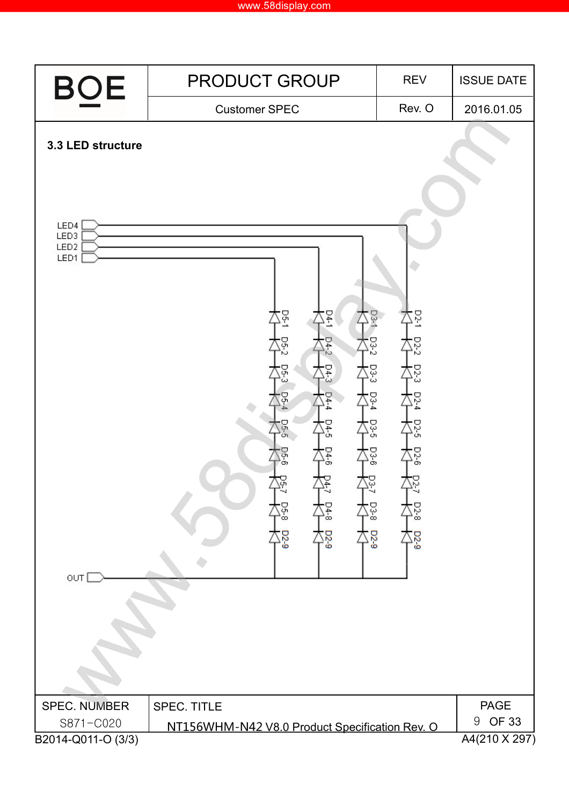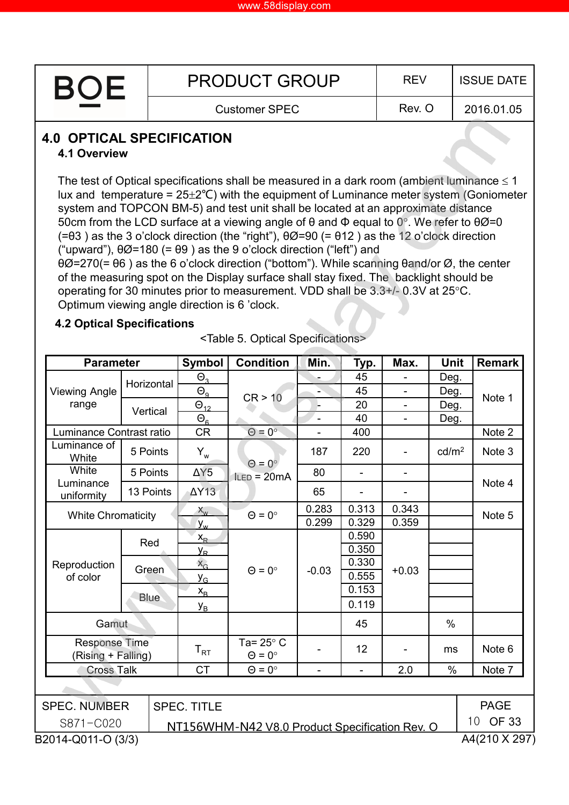| <b>BOF</b> | <b>PRODUCT GROUP</b> | <b>REV</b> | <b>ISSUE DATE</b> |
|------------|----------------------|------------|-------------------|
|            | <b>Customer SPEC</b> | Rev. O     | 2016.01.05        |

### **4.0 OPTICAL SPECIFICATION**

#### **4.1 Overview**

The test of Optical specifications shall be measured in a dark room (ambient luminance  $\leq 1$ ) lux and temperature =  $25\pm2\degree C$ ) with the equipment of Luminance meter system (Goniometer system and TOPCON BM-5) and test unit shall be located at an approximate distance 50cm from the LCD surface at a viewing angle of  $\theta$  and  $\Phi$  equal to 0°. We refer to  $\theta\varnothing$ =0 (=θ3 ) as the 3 o'clock direction (the "right"), θØ=90 (= θ12 ) as the 12 o'clock direction ("upward"),  $\theta\emptyset$ =180 (=  $\theta\emptyset$ ) as the 9 o'clock direction ("left") and θØ=270(= θ6 ) as the 6 o'clock direction ("bottom"). While scanning θand/or Ø, the center

of the measuring spot on the Display surface shall stay fixed. The backlight should be operating for 30 minutes prior to measurement. VDD shall be 3.3+/- 0.3V at 25°C. Optimum viewing angle direction is 6 'clock.

#### **4.2 Optical Specifications**

| <b>Parameter</b>                    |             | <b>Symbol</b>              | <b>Condition</b>                               | Min.    | Typ.           | Max.           | <b>Unit</b>       | <b>Remark</b>                   |
|-------------------------------------|-------------|----------------------------|------------------------------------------------|---------|----------------|----------------|-------------------|---------------------------------|
|                                     | Horizontal  | $\Theta_{3}$               |                                                |         | 45             |                | Deg.              |                                 |
| <b>Viewing Angle</b>                |             | $\Theta_{9}$               | CR > 10                                        |         | 45             | $\overline{a}$ | Deg.              | Note 1                          |
| range                               | Vertical    | $\Theta_{12}$              |                                                |         | 20             | $\blacksquare$ | Deg.              |                                 |
|                                     |             | $\Theta_{\underline{6}}$   |                                                |         | 40             |                | Deg.              |                                 |
| Luminance Contrast ratio            |             | <b>CR</b>                  | $\Theta = 0^{\circ}$                           |         | 400            |                |                   | Note 2                          |
| Luminance of<br>White               | 5 Points    | $Y_w$                      | $\Theta = 0^{\circ}$                           | 187     | 220            |                | cd/m <sup>2</sup> | Note 3                          |
| White                               | 5 Points    | $\Delta Y5$                | $lLED = 20mA$                                  | 80      | $\blacksquare$ | ÷              |                   |                                 |
| Luminance<br>uniformity             | 13 Points   | $\Delta Y$ 13              |                                                | 65      |                |                |                   | Note 4                          |
| <b>White Chromaticity</b>           |             | $X_{w}$                    | $\Theta = 0^{\circ}$                           | 0.283   | 0.313          | 0.343          |                   | Note 5                          |
|                                     |             | $y_{w}$                    |                                                | 0.299   | 0.329          | 0.359          |                   |                                 |
|                                     | Red         | $X_{R}$                    |                                                |         | 0.590          |                |                   |                                 |
|                                     |             | <u>y<sub>r</sub></u>       |                                                |         | 0.350          |                |                   |                                 |
| Reproduction                        | Green       | $X_G$                      | $\Theta = 0^{\circ}$                           | $-0.03$ | 0.330          | $+0.03$        |                   |                                 |
| of color                            |             | $y_{G}$                    |                                                |         | 0.555          |                |                   |                                 |
|                                     | <b>Blue</b> | $X_{\rm B}$                |                                                |         | 0.153          |                |                   |                                 |
|                                     |             | $y_{B}$                    |                                                |         | 0.119          |                |                   |                                 |
| Gamut                               |             |                            |                                                |         | 45             |                | $\%$              |                                 |
| Response Time<br>(Rising + Falling) |             | $\mathsf{T}_{\mathsf{RT}}$ | Ta= $25^\circ$ C<br>$\Theta = 0^{\circ}$       |         | 12             |                | ms                | Note <sub>6</sub>               |
| <b>Cross Talk</b>                   |             | <b>CT</b>                  | $\Theta = 0^{\circ}$                           |         | $\frac{1}{2}$  | 2.0            | %                 | Note 7                          |
|                                     |             |                            |                                                |         |                |                |                   |                                 |
| <b>SPEC. NUMBER</b>                 |             | <b>SPEC. TITLE</b>         |                                                |         |                |                |                   | <b>PAGE</b>                     |
| S871-C020                           |             |                            | NT156WHM-N42 V8.0 Product Specification Rev. O |         |                |                |                   | <b>OF 33</b><br>10 <sup>°</sup> |
| B2014-Q011-O (3/3)                  |             |                            |                                                |         |                |                |                   | A4(210 X 297)                   |

<Table 5. Optical Specifications>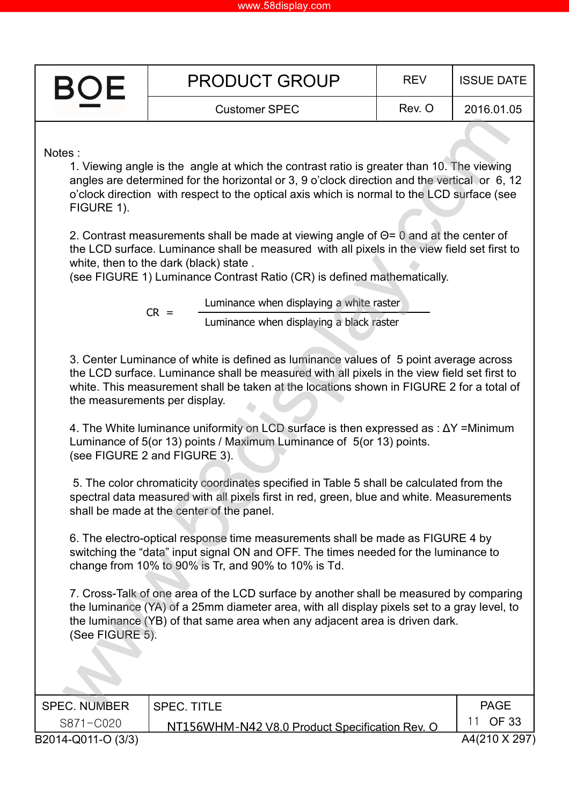| www.58display.com |
|-------------------|
|-------------------|

| <b>BOF</b> | <b>PRODUCT GROUP</b> | <b>REV</b> | <b>ISSUE DATE</b> |
|------------|----------------------|------------|-------------------|
|            | <b>Customer SPEC</b> | Rev. O     | 2016.01.05        |

Notes :

1. Viewing angle is the angle at which the contrast ratio is greater than 10. The viewing angles are determined for the horizontal or 3, 9 o'clock direction and the vertical or 6, 12 o'clock direction with respect to the optical axis which is normal to the LCD surface (see FIGURE 1).

2. Contrast measurements shall be made at viewing angle of Θ= 0 and at the center of the LCD surface. Luminance shall be measured with all pixels in the view field set first to white, then to the dark (black) state .

(see FIGURE 1) Luminance Contrast Ratio (CR) is defined mathematically.

 $CR =$ Luminance when displaying a white raster Luminance when displaying a black raster

3. Center Luminance of white is defined as luminance values of 5 point average across the LCD surface. Luminance shall be measured with all pixels in the view field set first to white. This measurement shall be taken at the locations shown in FIGURE 2 for a total of the measurements per display.

4. The White luminance uniformity on LCD surface is then expressed as : ∆Y =Minimum Luminance of 5(or 13) points / Maximum Luminance of 5(or 13) points. (see FIGURE 2 and FIGURE 3).

5. The color chromaticity coordinates specified in Table 5 shall be calculated from the spectral data measured with all pixels first in red, green, blue and white. Measurements shall be made at the center of the panel.

6. The electro-optical response time measurements shall be made as FIGURE 4 by switching the "data" input signal ON and OFF. The times needed for the luminance to change from 10% to 90% is Tr, and 90% to 10% is Td.

7. Cross-Talk of one area of the LCD surface by another shall be measured by comparing the luminance (YA) of a 25mm diameter area, with all display pixels set to a gray level, to the luminance (YB) of that same area when any adjacent area is driven dark. (See FIGURE 5).

| SPEC. NUMBER       | <b>SPEC. TITLE</b>                             | <b>PAGE</b>   |
|--------------------|------------------------------------------------|---------------|
| S871-C020          | NT156WHM-N42 V8.0 Product Specification Rev. O | OF 33         |
| B2014-Q011-O (3/3) |                                                | A4(210 X 297) |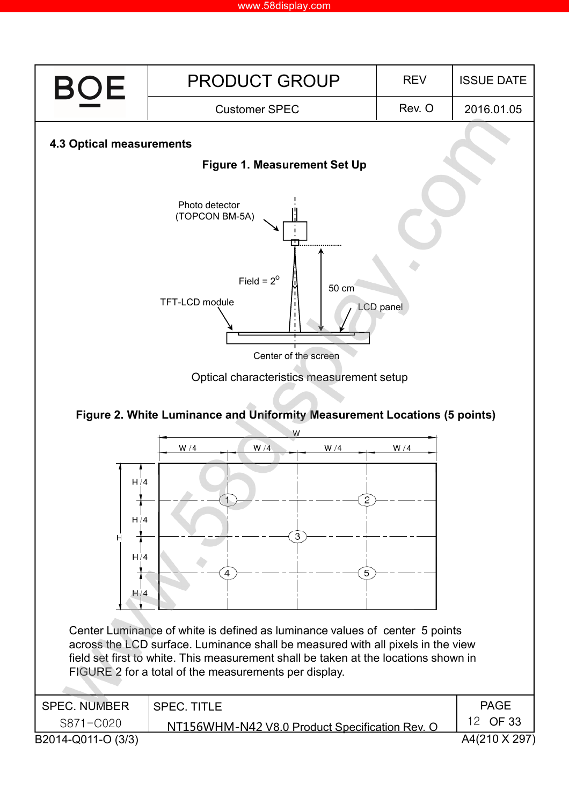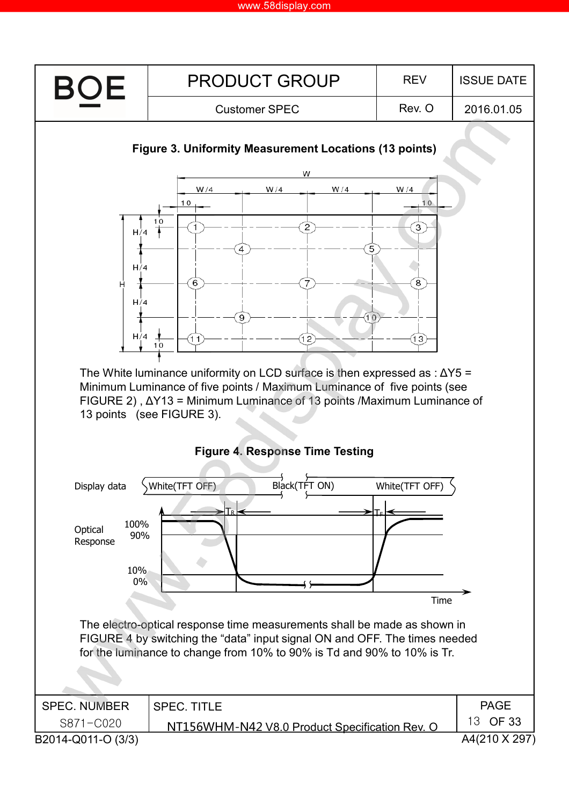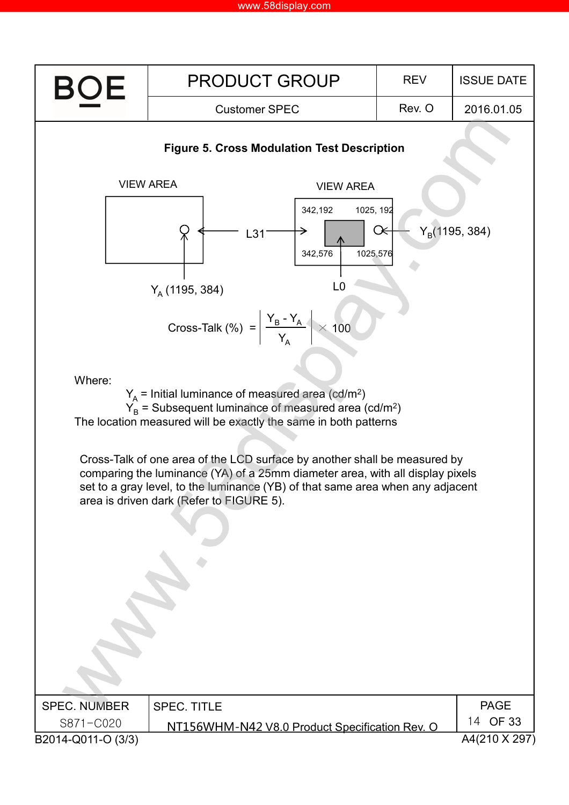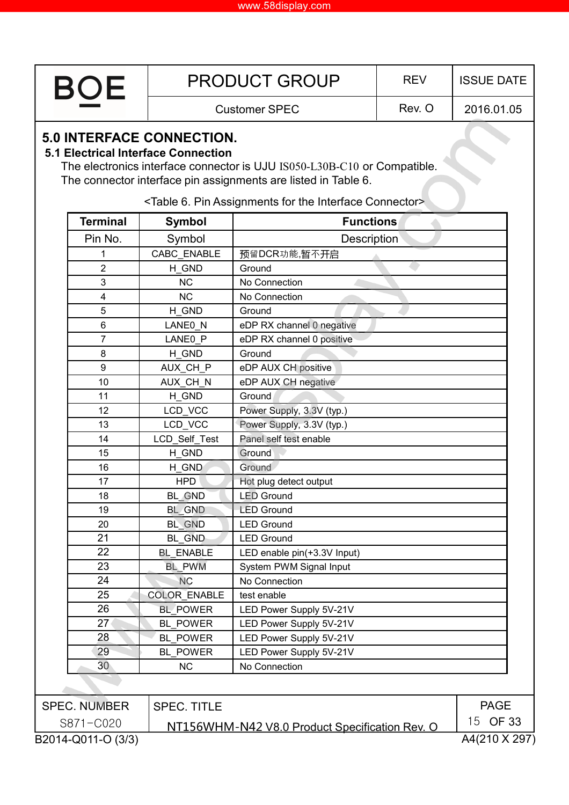| <b>BOE</b> | <b>PRODUCT GROUP</b> | <b>REV</b> | <b>ISSUE DATE</b> |
|------------|----------------------|------------|-------------------|
|            | <b>Customer SPEC</b> | Rev. O     | 2016.01.05        |

### **5.0 INTERFACE CONNECTION.**

#### **5.1 Electrical Interface Connection**

The electronics interface connector is UJU IS050-L30B-C10 or Compatible. The connector interface pin assignments are listed in Table 6.

<Table 6. Pin Assignments for the Interface Connector>

| <b>Terminal</b>     | <b>Symbol</b>      | <b>Functions</b>                               |                     |
|---------------------|--------------------|------------------------------------------------|---------------------|
| Pin No.             | Symbol             | <b>Description</b>                             |                     |
| 1                   | CABC ENABLE        | 预留DCR功能,暂不开启                                   |                     |
| $\overline{2}$      | H_GND              | Ground                                         |                     |
| 3                   | <b>NC</b>          | No Connection                                  |                     |
| 4                   | <b>NC</b>          | No Connection                                  |                     |
| 5                   | H_GND              | Ground                                         |                     |
| 6                   | LANEO_N            | eDP RX channel 0 negative                      |                     |
| $\overline{7}$      | LANE0_P            | eDP RX channel 0 positive                      |                     |
| $\bf 8$             | H GND              | Ground                                         |                     |
| $\boldsymbol{9}$    | AUX_CH_P           | eDP AUX CH positive                            |                     |
| 10                  | AUX_CH_N           | eDP AUX CH negative                            |                     |
| 11                  | H GND              | Ground                                         |                     |
| 12                  | LCD VCC            | Power Supply, 3.3V (typ.)                      |                     |
| 13                  | LCD_VCC            | Power Supply, 3.3V (typ.)                      |                     |
| 14                  | LCD_Self_Test      | Panel self test enable                         |                     |
| 15                  | H GND              | Ground                                         |                     |
| 16                  | H_GND              | Ground                                         |                     |
| 17                  | <b>HPD</b>         | Hot plug detect output                         |                     |
| 18                  | BL_GND             | <b>LED Ground</b>                              |                     |
| 19                  | BL_GND             | <b>LED Ground</b>                              |                     |
| 20                  | BL GND             | <b>LED Ground</b>                              |                     |
| 21                  | <b>BL_GND</b>      | <b>LED Ground</b>                              |                     |
| 22                  | <b>BL ENABLE</b>   | LED enable pin(+3.3V Input)                    |                     |
| 23                  | <b>BL PWM</b>      | System PWM Signal Input                        |                     |
| 24                  | <b>NC</b>          | No Connection                                  |                     |
| 25                  | COLOR_ENABLE       | test enable                                    |                     |
| 26                  | <b>BL POWER</b>    | LED Power Supply 5V-21V                        |                     |
| 27                  | <b>BL POWER</b>    | LED Power Supply 5V-21V                        |                     |
| 28                  | <b>BL POWER</b>    | LED Power Supply 5V-21V                        |                     |
| 29                  | <b>BL_POWER</b>    | LED Power Supply 5V-21V                        |                     |
| 30                  | <b>NC</b>          | No Connection                                  |                     |
|                     |                    |                                                |                     |
| <b>SPEC. NUMBER</b> | <b>SPEC. TITLE</b> |                                                | <b>PAGE</b>         |
| S871-C020           |                    | NT156WHM-N42 V8.0 Product Specification Rev. O | 15 OF 33            |
| 0.2011001101        |                    |                                                | $0.4/240 \times 20$ |

B2014-Q011-O (3/3)

A4(210 X 297)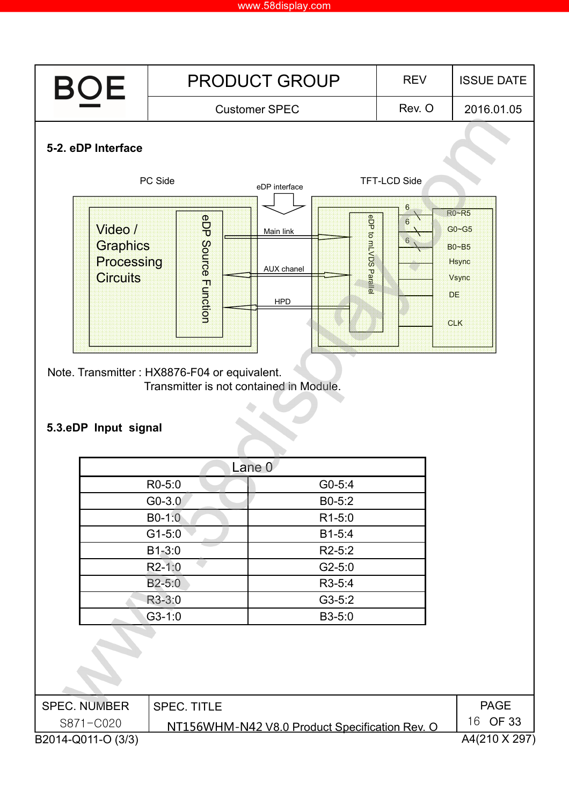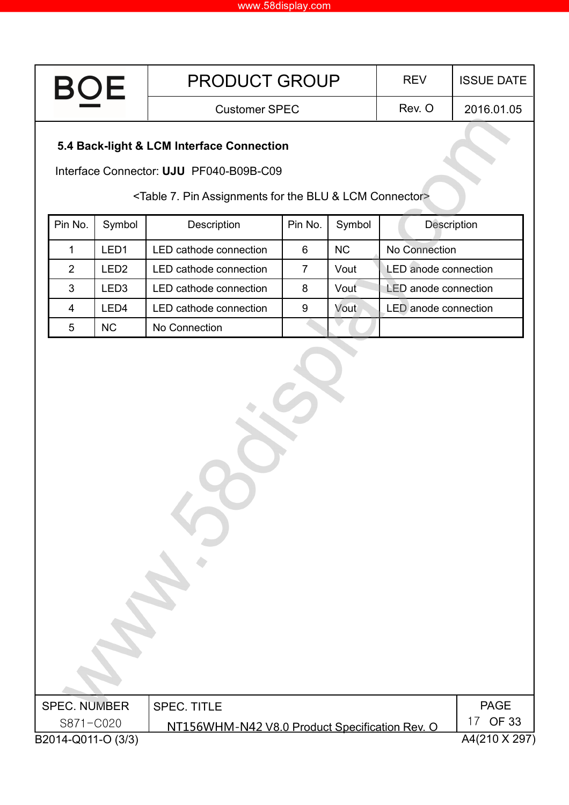| <b>BOF</b><br><b>The Common</b> | <b>PRODUCT GROUP</b> | <b>RFV</b> | <b>ISSUE DATE</b> |
|---------------------------------|----------------------|------------|-------------------|
|                                 | <b>Customer SPEC</b> | Rev. O     | 2016.01.05        |
|                                 |                      |            |                   |

# **5.4 Back-light & LCM Interface Connection**

Interface Connector: **UJU** PF040-B09B-C09

<Table 7. Pin Assignments for the BLU & LCM Connector>

| Pin No. | Symbol    | Description            | Pin No. | Symbol    | <b>Description</b>          |
|---------|-----------|------------------------|---------|-----------|-----------------------------|
|         | LED1      | LED cathode connection | 6       | <b>NC</b> | No Connection               |
| 2       | LED2      | LED cathode connection |         | Vout      | <b>LED</b> anode connection |
| 3       | LED3      | LED cathode connection | 8       | Vout      | <b>LED</b> anode connection |
| 4       | LED4      | LED cathode connection | 9       | Vout      | <b>LED</b> anode connection |
| 5       | <b>NC</b> | No Connection          |         |           |                             |

| <b>SPEC. NUMBER</b> | SPEC. TITLE                                    | PAGE          |
|---------------------|------------------------------------------------|---------------|
| S871-C020           | NT156WHM-N42 V8.0 Product Specification Rev. O | 17 OF 33      |
| B2014-Q011-O (3/3)  |                                                | A4(210 X 297) |
|                     |                                                |               |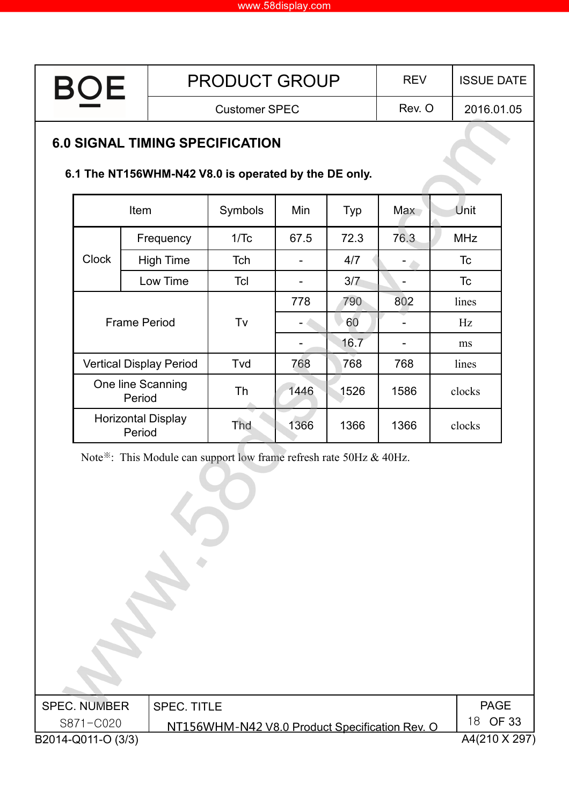| <b>BOE</b> | <b>PRODUCT GROUP</b> | <b>RFV</b> | <b>ISSUE DATE</b> |
|------------|----------------------|------------|-------------------|
|            | <b>Customer SPEC</b> | Rev. O     | 2016.01.05        |
|            |                      |            |                   |

# **6.0 SIGNAL TIMING SPECIFICATION**

### **6.1 The NT156WHM-N42 V8.0 is operated by the DE only.**

| <b>Item</b>                         |                                | Symbols   | Min  | <b>Typ</b> | <b>Max</b> | Unit       |
|-------------------------------------|--------------------------------|-----------|------|------------|------------|------------|
|                                     | Frequency                      | 1/Tc      | 67.5 | 72.3       | 76.3       | <b>MHz</b> |
| <b>Clock</b>                        | <b>High Time</b>               | Tch       |      | 4/7        |            | Tc         |
|                                     | Low Time                       | Tcl       |      | 3/7        |            | Tc         |
|                                     |                                |           | 778  | 790        | 802        | lines      |
|                                     | <b>Frame Period</b>            | Tv        |      | 60         |            | Hz         |
|                                     |                                |           |      | 16.7       |            | ms         |
|                                     | <b>Vertical Display Period</b> | Tvd       | 768  | 768        | 768        | lines      |
| One line Scanning<br>Period         |                                | <b>Th</b> | 1446 | 1526       | 1586       | clocks     |
| <b>Horizontal Display</b><br>Period |                                | Tha       | 1366 | 1366       | 1366       | clocks     |

Note<sup>※</sup>: This Module can support low frame refresh rate 50Hz & 40Hz.

| <b>SPEC. NUMBER</b> | <b>SPEC. TITLE</b>                             | <b>PAGE</b>   |
|---------------------|------------------------------------------------|---------------|
| S871-C020           | NT156WHM-N42 V8.0 Product Specification Rev. O | 18 OF 33      |
| B2014-Q011-O (3/3)  |                                                | A4(210 X 297) |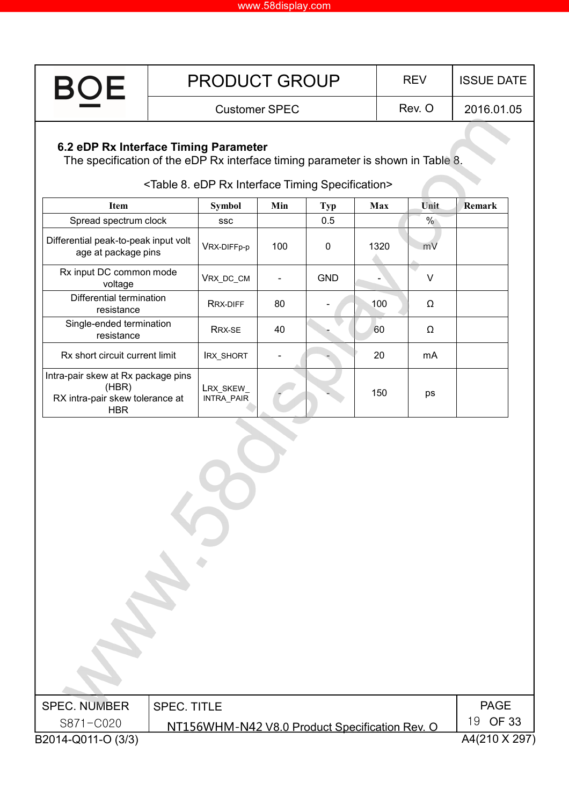| <b>BOE</b> | <b>PRODUCT GROUP</b> | <b>REV</b> | <b>ISSUE DATE  </b> |
|------------|----------------------|------------|---------------------|
|            | Customer SPEC        | Rev. C     | 2016.01.05          |

# **6.2 eDP Rx Interface Timing Parameter**

The specification of the eDP Rx interface timing parameter is shown in Table 8.

| <b>Item</b>                                                                                  | <b>Symbol</b>                  | Min | <b>Typ</b> | Max  | Unit. | <b>Remark</b> |
|----------------------------------------------------------------------------------------------|--------------------------------|-----|------------|------|-------|---------------|
| Spread spectrum clock                                                                        | <b>SSC</b>                     |     | 0.5        |      | %     |               |
| Differential peak-to-peak input volt<br>age at package pins                                  | VRX-DIFFp-p                    | 100 | 0          | 1320 | mV    |               |
| Rx input DC common mode<br>voltage                                                           | VRX_DC_CM                      |     | <b>GND</b> |      | v     |               |
| Differential termination<br>resistance                                                       | RRX-DIFF                       | 80  |            | 100  | Ω     |               |
| Single-ended termination<br>resistance                                                       | RRX-SE                         | 40  |            | 60   | Ω     |               |
| Rx short circuit current limit                                                               | <b>IRX_SHORT</b>               |     |            | 20   | mA    |               |
| Intra-pair skew at Rx package pins<br>(HBR)<br>RX intra-pair skew tolerance at<br><b>HBR</b> | LRX_SKEW_<br><b>INTRA PAIR</b> |     |            | 150  | ps    |               |

### <Table 8. eDP Rx Interface Timing Specification>

| <b>SPEC. NUMBER</b> | <b>SPEC. TITLE</b>                             | <b>PAGE</b>   |
|---------------------|------------------------------------------------|---------------|
| S871-C020           | NT156WHM-N42 V8.0 Product Specification Rev. O | 19 OF 33      |
| B2014-Q011-O (3/3)  |                                                | A4(210 X 297) |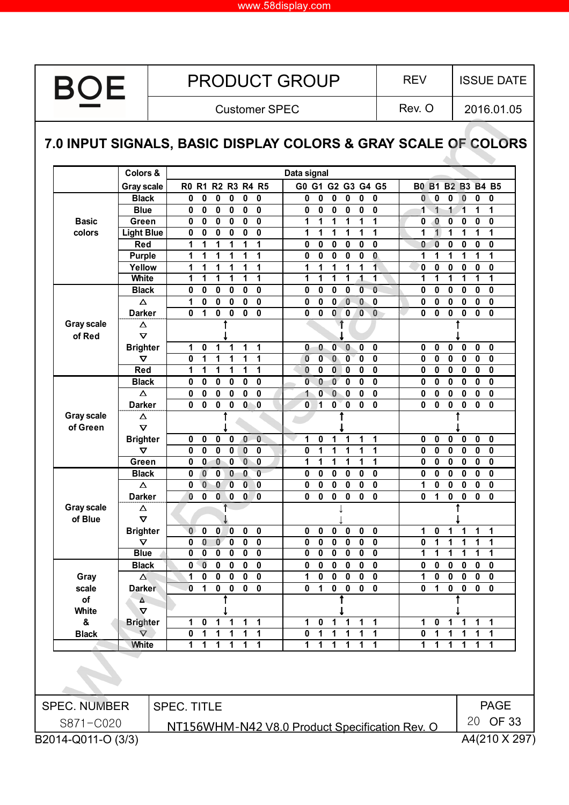#### www.58display.com

**BOE** 

Customer SPEC Rev. O

2016.01.05

# **7.0 INPUT SIGNALS, BASIC DISPLAY COLORS & GRAY SCALE OF COLORS**

|                     | Colors &              |                                                                                                   | Data signal                                                                         |                                                          |
|---------------------|-----------------------|---------------------------------------------------------------------------------------------------|-------------------------------------------------------------------------------------|----------------------------------------------------------|
|                     | <b>Gray scale</b>     | R0 R1 R2 R3 R4 R5                                                                                 | G0 G1 G2 G3 G4 G5                                                                   | <b>B0 B1</b><br><b>B2 B3 B4 B5</b>                       |
|                     | <b>Black</b>          | 0<br>0<br>0<br>0<br>0<br>0                                                                        | 0<br>0<br>0<br>0<br>0<br>0                                                          | 0<br>0<br>$\bf{0}$<br>0<br>0<br>0                        |
|                     | <b>Blue</b>           | 0<br>0<br>0<br>0<br>0<br>0                                                                        | 0<br>0<br>0<br>0<br>0<br>0                                                          | 1<br>1<br>1<br>1<br>1<br>1                               |
| <b>Basic</b>        | Green                 | 0<br>0<br>0<br>0<br>0<br>0                                                                        | 1<br>1<br>1<br>1<br>1<br>1                                                          | 0<br>0<br>0<br>0<br>0<br>0                               |
| colors              | <b>Light Blue</b>     | 0<br>0<br>0<br>0<br>0<br>0                                                                        | 1<br>1<br>1<br>1<br>1<br>1                                                          | 1<br>1<br>1<br>1<br>1<br>1                               |
|                     | Red                   | 1<br>1<br>1<br>1<br>1<br>1                                                                        | 0<br>0<br>0<br>0<br>0<br>0                                                          | $\bf{0}$<br>0<br>0<br>0<br>0<br>0                        |
|                     | <b>Purple</b>         | 1<br>1<br>1<br>1<br>1<br>1                                                                        | 0<br>0<br>0<br>0<br>0<br>0                                                          | 1<br>1<br>1<br>1<br>1<br>1                               |
|                     | Yellow                | 1<br>1<br>1<br>1<br>1<br>1                                                                        | 1<br>1<br>1<br>1<br>1<br>1                                                          | 0<br>0<br>0<br>0<br>0<br>0                               |
|                     | White                 | 1<br>1<br>1<br>1<br>1<br>1                                                                        | 1<br>1<br>1<br>1<br>$\blacktriangleleft$<br>1                                       | 1<br>1<br>1<br>1<br>1<br>1                               |
|                     | <b>Black</b>          | 0<br>0<br>0<br>0<br>0<br>0                                                                        | $\bf{0}$<br>$\bf{0}$<br>0<br>0<br>0<br>0                                            | 0<br>0<br>0<br>$\mathbf 0$<br>0<br>0                     |
|                     | Δ                     | 0<br>1<br>0<br>0<br>0<br>0                                                                        | $\bf{0}$<br>0<br>0<br>0<br>$\bf{0}$<br>0                                            | 0<br>0<br>0<br>0<br>0<br>0                               |
|                     | <b>Darker</b>         | 0<br>1<br>0<br>0<br>0<br>0                                                                        | $\bf{0}$<br>$\bf{0}$<br>$\bf{0}$<br>0<br>0<br>0                                     | 0<br>0<br>0<br>0<br>0<br>0                               |
| <b>Gray scale</b>   | $\Delta$              |                                                                                                   | 1                                                                                   |                                                          |
| of Red              | $\boldsymbol{\nabla}$ |                                                                                                   |                                                                                     |                                                          |
|                     | <b>Brighter</b>       | 1<br>1<br>0<br>1<br>1<br>1                                                                        | 0<br>$\bf{0}$<br>0<br>0<br>0<br>0                                                   | 0<br>0<br>0<br>0<br>0<br>0                               |
|                     | ▽                     | 0<br>1<br>1<br>1<br>1<br>1                                                                        | 0<br>0<br>$\bf{0}$<br>0<br>0<br>0                                                   | 0<br>0<br>0<br>0<br>0<br>$\mathbf 0$                     |
|                     | Red                   | 1<br>1<br>1<br>1<br>1<br>1                                                                        | $\bf{0}$<br>$\bf{0}$<br>0<br>0<br>0<br>0                                            | $\mathbf 0$<br>$\mathbf 0$<br>$\mathbf 0$<br>0<br>0<br>0 |
|                     | <b>Black</b>          | 0<br>0<br>0<br>0<br>0<br>0                                                                        | 0<br>0<br>$\mathbf{0}$<br>$\bf{0}$<br>0<br>0                                        | 0<br>0<br>0<br>$\mathbf 0$<br>$\mathbf 0$<br>0           |
|                     | Δ                     | 0<br>0<br>0<br>0<br>0<br>0                                                                        | 0<br>0<br>1<br>$\bf{0}$<br>0<br>0                                                   | 0<br>$\mathbf 0$<br>0<br>0<br>0<br>0                     |
|                     | <b>Darker</b>         | 0<br>$\bf{0}$<br>$\bf{0}$<br>$\bf{0}$<br>0<br>0                                                   | $\bf{0}$<br>$\bf{0}$<br>$\bf{0}$<br>$\bf{0}$<br>0<br>1                              | 0<br>0<br>0<br>0<br>0<br>0                               |
| <b>Gray scale</b>   | Δ                     |                                                                                                   |                                                                                     |                                                          |
| of Green            | $\boldsymbol{\nabla}$ |                                                                                                   |                                                                                     |                                                          |
|                     | <b>Brighter</b>       | $\mathbf 0$<br>$\pmb{0}$<br>0<br>0<br>0<br>0                                                      | $\pmb{0}$<br>1<br>1<br>1<br>1<br>1                                                  | 0<br>0<br>0<br>0<br>0<br>$\pmb{0}$                       |
|                     | ▽                     | 0<br>$\bf{0}$<br>0<br>0<br>$\bf{0}$<br>0                                                          | 0<br>1<br>1<br>1<br>1<br>1                                                          | 0<br>0<br>0<br>0<br>0<br>$\mathbf 0$                     |
|                     | Green                 | $\bf{0}$<br>$\mathbf 0$<br>$\bf{0}$<br>0<br>0<br>0                                                | 1<br>1<br>1<br>1<br>1<br>1                                                          | 0<br>0<br>0<br>0<br>$\mathbf 0$<br>0                     |
|                     | <b>Black</b>          | $\bf{0}$<br>$\bf{0}$<br>0<br>0<br>$\bf{0}$<br>0                                                   | $\mathbf 0$<br>$\bf{0}$<br>$\bf{0}$<br>$\mathbf{0}$<br>0<br>0                       | 0<br>0<br>0<br>0<br>$\mathbf 0$<br>$\mathbf{0}$          |
|                     | Δ                     | $\bf{0}$<br>0<br>0<br>$\bf{0}$<br>0<br>0                                                          | 0<br>0<br>0<br>0<br>0<br>0                                                          | 1<br>0<br>0<br>0<br>0<br>$\mathbf 0$                     |
|                     | <b>Darker</b>         | $\bf{0}$<br>0<br>$\mathbf 0$<br>0<br>0<br>0                                                       | $\bf{0}$<br>$\bf{0}$<br>$\bf{0}$<br>0<br>0<br>0                                     | 0<br>0<br>0<br>0<br>0<br>1                               |
| <b>Gray scale</b>   | $\Delta$              |                                                                                                   |                                                                                     |                                                          |
| of Blue             | $\boldsymbol{\nabla}$ |                                                                                                   |                                                                                     |                                                          |
|                     | <b>Brighter</b>       | $\mathbf{0}$<br>$\bf{0}$<br>$\bf{0}$<br>$\pmb{0}$<br>0<br>0                                       | $\mathbf 0$<br>$\mathbf 0$<br>$\mathbf 0$<br>0<br>0<br>0                            | 1<br>0<br>1<br>1<br>1<br>1                               |
|                     | Δ                     | $\bf{0}$<br>0<br>$\bf{0}$<br>0<br>0<br>0                                                          | 0<br>0<br>0<br>0<br>0<br>0                                                          | 0<br>1<br>1<br>1<br>1<br>1                               |
|                     | <b>Blue</b>           | $\mathbf 0$<br>$\mathbf 0$<br>0<br>0<br>0<br>0                                                    | $\bf{0}$<br>$\bf{0}$<br>$\bf{0}$<br>$\bf{0}$<br>0<br>0                              | 1<br>1<br>1<br>1<br>1<br>1                               |
|                     | <b>Black</b>          | $\bf{0}$<br>$\bf{0}$<br>0<br>0<br>0<br>0                                                          | $\bf{0}$<br>0<br>0<br>0<br>0<br>0                                                   | 0<br>0<br>0<br>0<br>0<br>$\mathbf 0$                     |
| Gray                | $\Delta$              | $\bf{0}$<br>1<br>0<br>0<br>0<br>0                                                                 | 0<br>1<br>0<br>0<br>0<br>0                                                          | 1<br>0<br>0<br>0<br>0<br>0                               |
| scale               | <b>Darker</b>         | $\mathbf{0}$<br>1<br>0<br>0<br>0<br>$\bf{0}$                                                      | 0<br>$\bf{0}$<br>$\bf{0}$<br>0<br>0<br>1                                            | 0<br>$\mathbf{0}$<br>1<br>0<br>0<br>0                    |
| of                  | Δ                     |                                                                                                   |                                                                                     |                                                          |
| White               | $\Delta$              |                                                                                                   |                                                                                     |                                                          |
| &                   | <b>Brighter</b>       | 1<br>$\mathbf 0$<br>$\overline{1}$<br>$\mathbf{1}$<br>$\mathbf{1}$<br>1                           | $\overline{1}$<br>1<br>$\mathbf 1$<br>$\mathbf 0$<br>$\mathbf{1}$<br>$\mathbf 1$    | 1<br>1<br>0<br>1<br>1<br>1                               |
| <b>Black</b>        | $\Delta$              | $\overline{\mathbf{0}}$<br>1<br>$\mathbf 1$<br>1<br>$\mathbf 1$<br>$\mathbf 1$                    | $\mathbf 0$<br>$\overline{\mathbf{1}}$<br>1<br>1<br>$\mathbf 1$<br>1                | 0<br>1<br>1<br>1<br>1                                    |
|                     | <b>White</b>          | $\mathbf{1}$<br>$\mathbf 1$<br>$\mathbf 1$<br>$\blacktriangleleft$<br>$\mathbf 1$<br>$\mathbf{1}$ | 1<br>1<br>$\mathbf{1}$<br>$\overline{1}$<br>$\mathbf{1}$<br>$\overline{\mathbf{1}}$ | 1<br>1<br>1<br>1<br>1<br>$\mathbf 1$                     |
|                     |                       |                                                                                                   |                                                                                     |                                                          |
| <b>SPEC. NUMBER</b> |                       | <b>SPEC. TITLE</b>                                                                                |                                                                                     | <b>PAGE</b>                                              |
| S871-C020           |                       |                                                                                                   | NT156WHM-N42 V8.0 Product Specification Rev. O                                      | 20 OF 33                                                 |
| B2014-Q011-O (3/3)  |                       |                                                                                                   |                                                                                     | A4(210 X 297)                                            |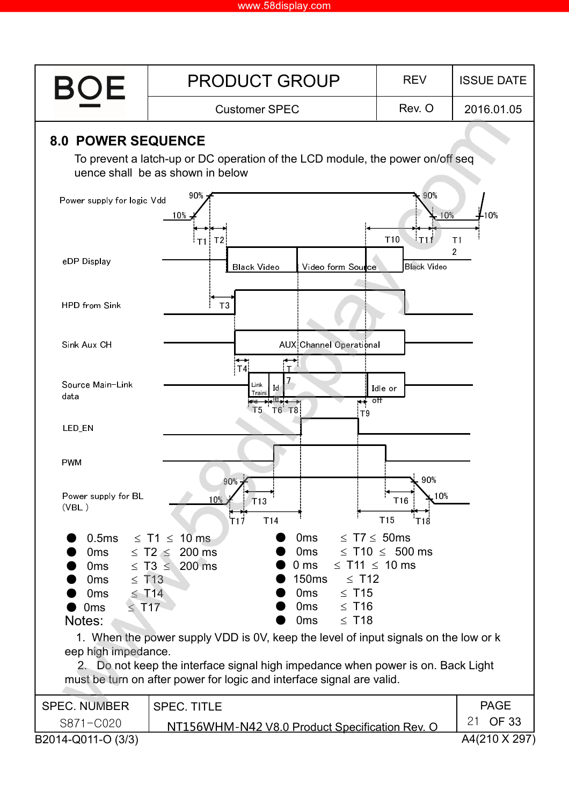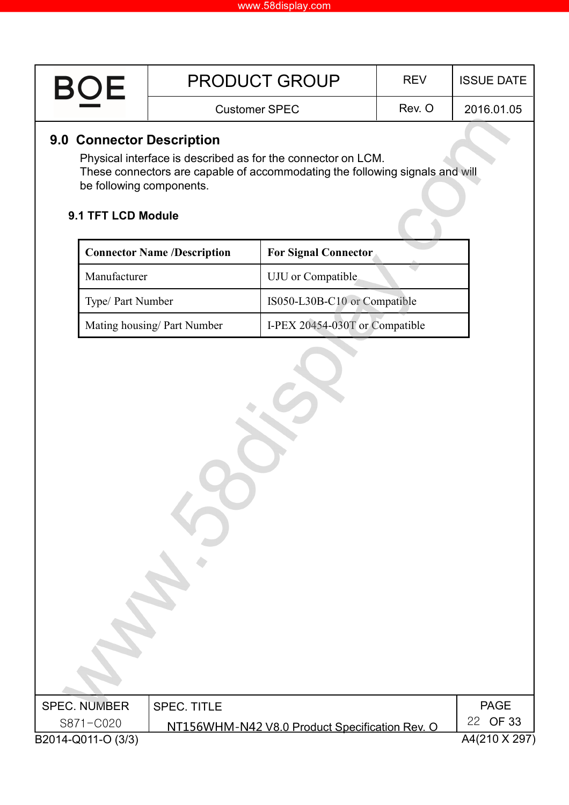| <b>BOF</b> | <b>PRODUCT GROUP</b> | <b>RFV</b> | <b>ISSUE DATE  </b> |
|------------|----------------------|------------|---------------------|
|            | <b>Customer SPEC</b> | Rev. O     | 2016.01.05          |

# **9.0 Connector Description**

Physical interface is described as for the connector on LCM. These connectors are capable of accommodating the following signals and will be following components.

#### **9.1 TFT LCD Module**

| <b>Connector Name /Description</b> | <b>For Signal Connector</b>    |
|------------------------------------|--------------------------------|
| Manufacturer                       | UJU or Compatible              |
| Type/ Part Number                  | IS050-L30B-C10 or Compatible   |
| Mating housing/ Part Number        | I-PEX 20454-030T or Compatible |

| <b>SPEC. NUMBER</b> | <b>SPEC. TITLE</b>                             | PAGE          |
|---------------------|------------------------------------------------|---------------|
| S871-C020           | NT156WHM-N42 V8.0 Product Specification Rev. O | 22 OF 33      |
| B2014-Q011-O (3/3)  |                                                | A4(210 X 297) |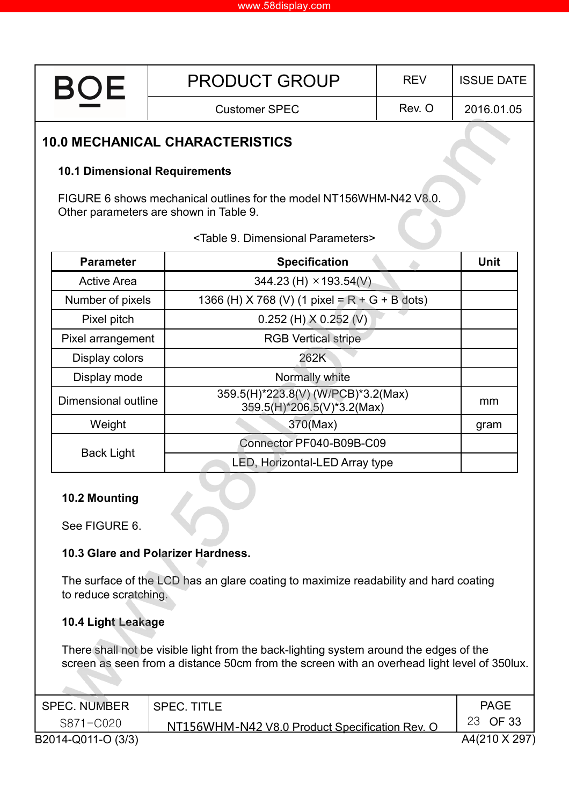| <b>BOE</b>                             | <b>PRODUCT GROUP</b>                                                                                          | <b>REV</b>                     | <b>ISSUE DATE</b> |  |  |  |  |  |  |
|----------------------------------------|---------------------------------------------------------------------------------------------------------------|--------------------------------|-------------------|--|--|--|--|--|--|
|                                        | <b>Customer SPEC</b>                                                                                          | Rev. O                         |                   |  |  |  |  |  |  |
| <b>10.0 MECHANICAL CHARACTERISTICS</b> |                                                                                                               |                                |                   |  |  |  |  |  |  |
| <b>10.1 Dimensional Requirements</b>   |                                                                                                               |                                |                   |  |  |  |  |  |  |
|                                        | FIGURE 6 shows mechanical outlines for the model NT156WHM-N42 V8.0.<br>Other parameters are shown in Table 9. |                                |                   |  |  |  |  |  |  |
|                                        | <table 9.="" dimensional="" parameters=""></table>                                                            |                                |                   |  |  |  |  |  |  |
| <b>Parameter</b>                       | <b>Specification</b>                                                                                          |                                | Unit              |  |  |  |  |  |  |
| <b>Active Area</b>                     | 344.23 (H) $\times$ 193.54(V)                                                                                 |                                |                   |  |  |  |  |  |  |
| Number of pixels                       | 1366 (H) X 768 (V) (1 pixel = $R + G + B$ dots)                                                               |                                |                   |  |  |  |  |  |  |
| Pixel pitch                            | $0.252$ (H) $X$ 0.252 (V)                                                                                     |                                |                   |  |  |  |  |  |  |
| Pixel arrangement                      | <b>RGB Vertical stripe</b>                                                                                    |                                |                   |  |  |  |  |  |  |
| Display colors                         | 262K                                                                                                          |                                |                   |  |  |  |  |  |  |
| Display mode                           | Normally white                                                                                                |                                |                   |  |  |  |  |  |  |
| Dimensional outline                    | 359.5(H)*223.8(V) (W/PCB)*3.2(Max)<br>359.5(H)*206.5(V)*3.2(Max)                                              |                                | mm                |  |  |  |  |  |  |
| Weight                                 | 370(Max)                                                                                                      |                                | gram              |  |  |  |  |  |  |
| <b>Back Light</b>                      | Connector PF040-B09B-C09                                                                                      |                                |                   |  |  |  |  |  |  |
|                                        |                                                                                                               | LED, Horizontal-LED Array type |                   |  |  |  |  |  |  |
| 10.2 Mounting                          |                                                                                                               |                                |                   |  |  |  |  |  |  |
| See FIGURE 6.                          |                                                                                                               |                                |                   |  |  |  |  |  |  |
|                                        | 10.3 Glare and Polarizer Hardness.                                                                            |                                |                   |  |  |  |  |  |  |
| to reduce scratching.                  | The surface of the LCD has an glare coating to maximize readability and hard coating                          |                                |                   |  |  |  |  |  |  |
| 10.4 Light Leakage                     |                                                                                                               |                                |                   |  |  |  |  |  |  |
|                                        | There shall not be visible light from the back-lighting system around the edges of the                        |                                |                   |  |  |  |  |  |  |

screen as seen from a distance 50cm from the screen with an overhead light level of 350lux. 

| <b>SPEC. NUMBER</b> | <b>SPEC. TITLE</b>                             | <b>PAGE</b>   |
|---------------------|------------------------------------------------|---------------|
| S871-C020           | NT156WHM-N42 V8.0 Product Specification Rev. O | 23 OF 33      |
| B2014-Q011-O (3/3)  |                                                | A4(210 X 297) |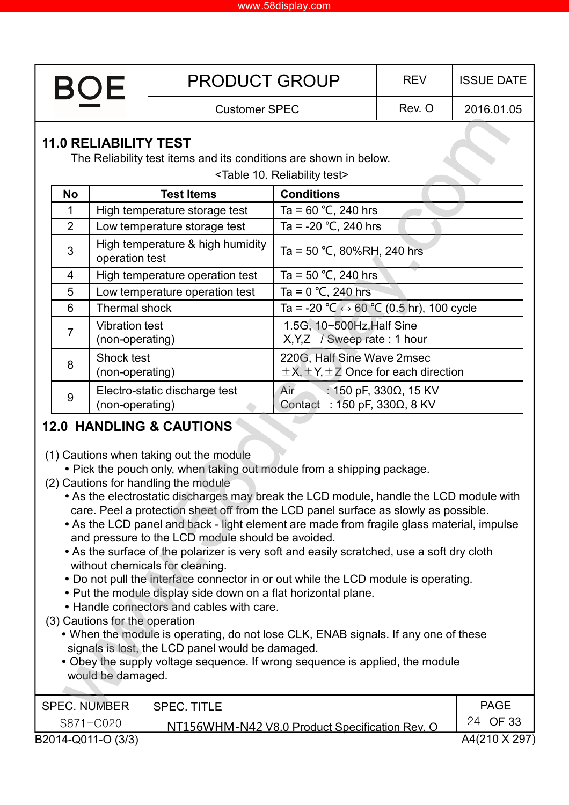| <b>BOE</b>                                    |                                                                                                   |                                          | <b>PRODUCT GROUP</b>             | <b>REV</b>                                                                      | <b>ISSUE DATE</b>     |            |  |  |  |  |  |
|-----------------------------------------------|---------------------------------------------------------------------------------------------------|------------------------------------------|----------------------------------|---------------------------------------------------------------------------------|-----------------------|------------|--|--|--|--|--|
|                                               |                                                                                                   |                                          | <b>Customer SPEC</b>             |                                                                                 | Rev. O                | 2016.01.05 |  |  |  |  |  |
|                                               | <b>11.0 RELIABILITY TEST</b><br>The Reliability test items and its conditions are shown in below. |                                          |                                  |                                                                                 |                       |            |  |  |  |  |  |
| <table 10.="" reliability="" test=""></table> |                                                                                                   |                                          |                                  |                                                                                 |                       |            |  |  |  |  |  |
|                                               | <b>No</b>                                                                                         |                                          | <b>Test Items</b>                | <b>Conditions</b>                                                               |                       |            |  |  |  |  |  |
|                                               | 1                                                                                                 |                                          | High temperature storage test    | Ta = $60 °C$ , 240 hrs                                                          |                       |            |  |  |  |  |  |
|                                               | $\overline{2}$                                                                                    |                                          | Low temperature storage test     | Ta = -20 $^{\circ}$ C, 240 hrs                                                  |                       |            |  |  |  |  |  |
|                                               | 3                                                                                                 | operation test                           | High temperature & high humidity | Ta = 50 °C, 80%RH, 240 hrs                                                      |                       |            |  |  |  |  |  |
|                                               | 4                                                                                                 |                                          | High temperature operation test  | Ta = $50 °C$ , 240 hrs                                                          |                       |            |  |  |  |  |  |
|                                               | 5                                                                                                 |                                          | Low temperature operation test   | Ta = $0 °C$ , 240 hrs                                                           |                       |            |  |  |  |  |  |
|                                               | 6                                                                                                 | Thermal shock                            |                                  | Ta = -20 °C $\leftrightarrow$ 60 °C (0.5 hr), 100 cycle                         |                       |            |  |  |  |  |  |
|                                               | $\overline{7}$                                                                                    | <b>Vibration test</b><br>(non-operating) |                                  | 1.5G, 10~500Hz, Half Sine<br>$X, Y, Z$ / Sweep rate : 1 hour                    |                       |            |  |  |  |  |  |
|                                               | 8                                                                                                 | Shock test<br>(non-operating)            |                                  | 220G, Half Sine Wave 2msec<br>$\pm$ X, $\pm$ Y, $\pm$ Z Once for each direction |                       |            |  |  |  |  |  |
|                                               | 9                                                                                                 | (non-operating)                          | Electro-static discharge test    | Air<br>Contact : 150 pF, 330 $\Omega$ , 8 KV                                    | : 150 pF, 330Ω, 15 KV |            |  |  |  |  |  |

### **12.0 HANDLING & CAUTIONS**

- (1) Cautions when taking out the module
	- Pick the pouch only, when taking out module from a shipping package.
- (2) Cautions for handling the module
	- As the electrostatic discharges may break the LCD module, handle the LCD module with care. Peel a protection sheet off from the LCD panel surface as slowly as possible.
	- As the LCD panel and back light element are made from fragile glass material, impulse and pressure to the LCD module should be avoided.
	- As the surface of the polarizer is very soft and easily scratched, use a soft dry cloth without chemicals for cleaning.
	- Do not pull the interface connector in or out while the LCD module is operating.
	- Put the module display side down on a flat horizontal plane.
	- Handle connectors and cables with care.
- (3) Cautions for the operation
	- When the module is operating, do not lose CLK, ENAB signals. If any one of these signals is lost, the LCD panel would be damaged.
	- Obey the supply voltage sequence. If wrong sequence is applied, the module would be damaged.

| <b>SPEC. NUMBER</b> | <b>SPEC. TITLE</b>                             | <b>PAGE</b>   |
|---------------------|------------------------------------------------|---------------|
| S871-C020           | NT156WHM-N42 V8.0 Product Specification Rev. O | 24 OF 33      |
| B2014-Q011-O (3/3)  |                                                | A4(210 X 297) |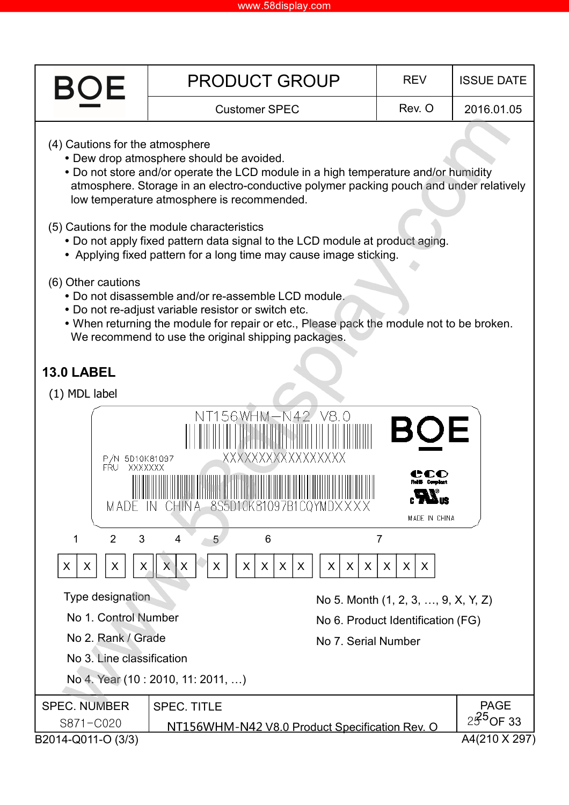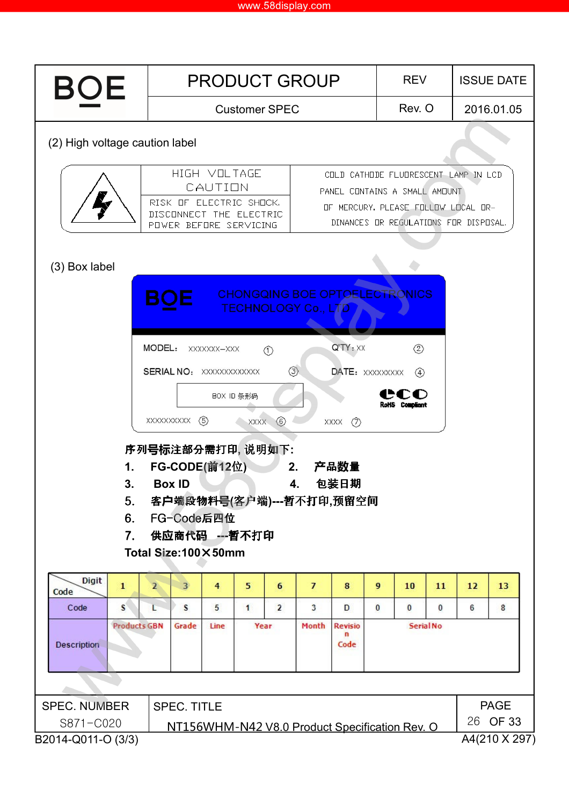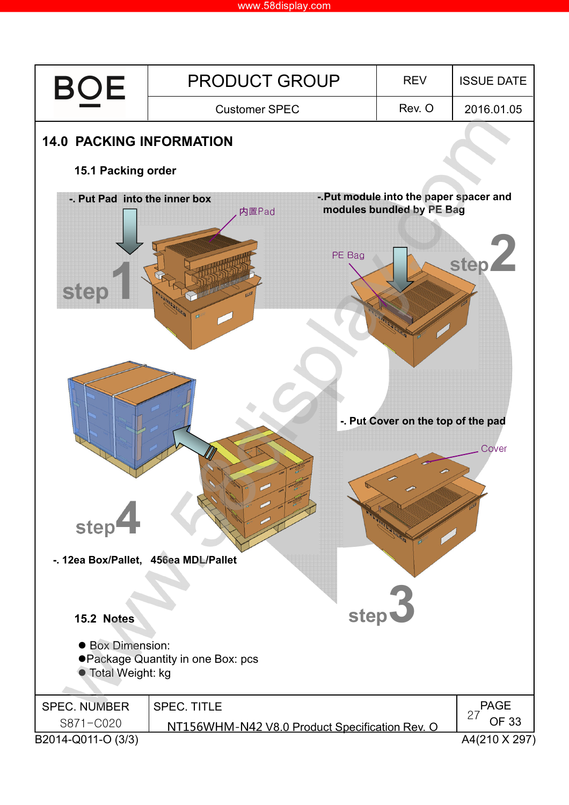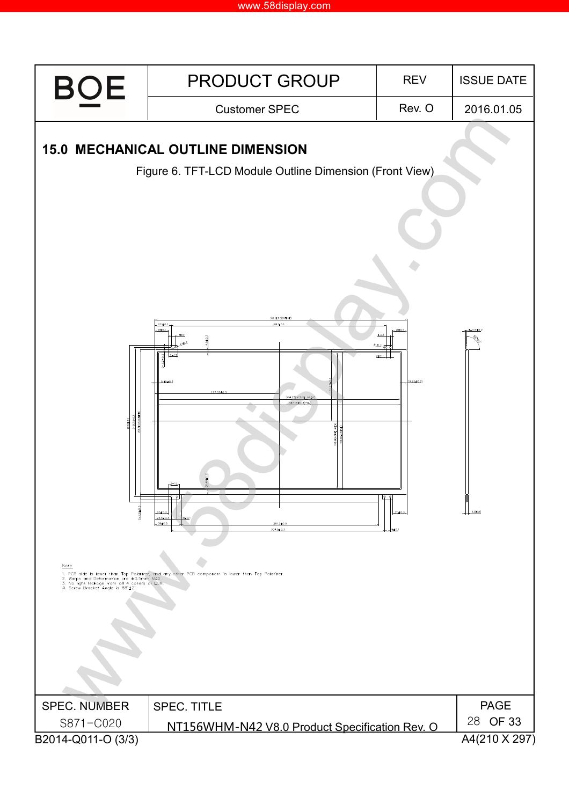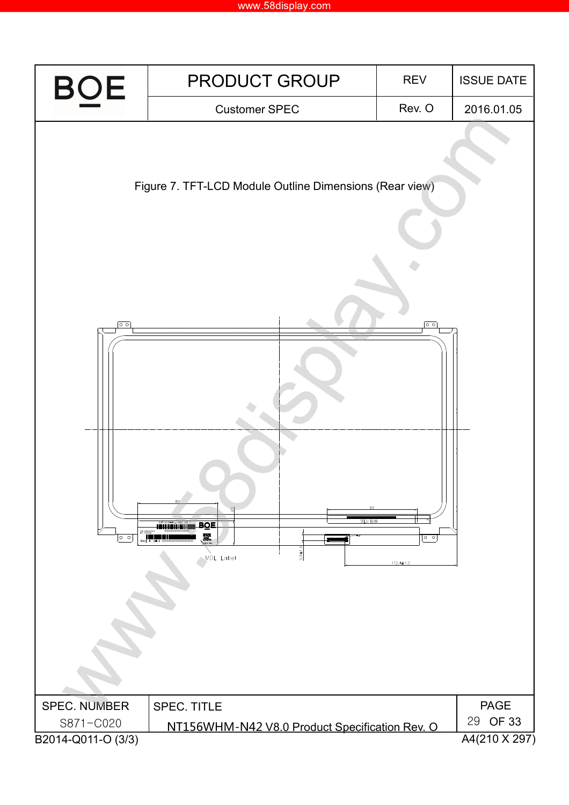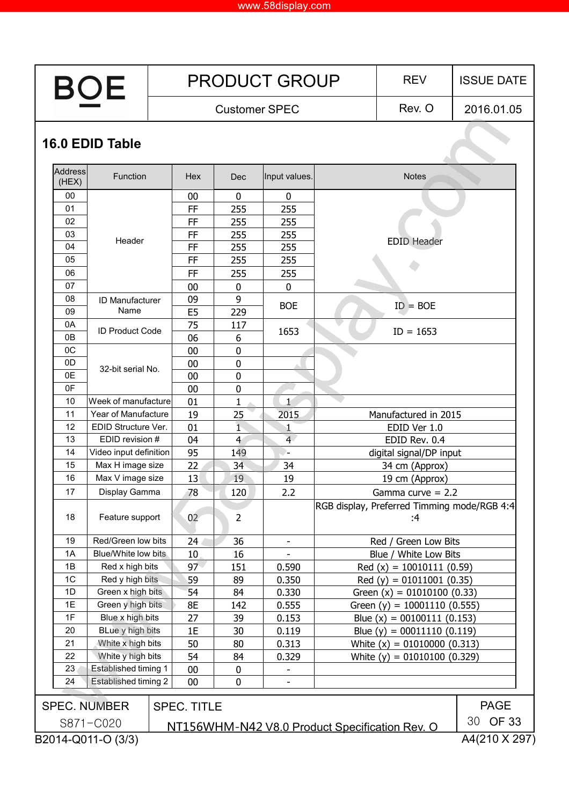| <b>BOE</b>                                                                            |                        |  | <b>PRODUCT GROUP</b> |             |                          |                | <b>REV</b>                                        | <b>ISSUE DATE</b> |  |  |
|---------------------------------------------------------------------------------------|------------------------|--|----------------------|-------------|--------------------------|----------------|---------------------------------------------------|-------------------|--|--|
|                                                                                       |                        |  | <b>Customer SPEC</b> |             |                          |                | Rev. O                                            | 2016.01.05        |  |  |
| 16.0 EDID Table                                                                       |                        |  |                      |             |                          |                |                                                   |                   |  |  |
| Address<br>(HEX)                                                                      | Function               |  | Hex                  | Dec         | Input values.            |                | <b>Notes</b>                                      |                   |  |  |
| 00                                                                                    |                        |  | 00                   | 0           | $\mathbf{0}$             |                |                                                   |                   |  |  |
| 01                                                                                    |                        |  | FF                   | 255         | 255                      |                |                                                   |                   |  |  |
| 02                                                                                    |                        |  | FF                   | 255         | 255                      |                |                                                   |                   |  |  |
| 03                                                                                    |                        |  | FF                   | 255         | 255                      |                |                                                   |                   |  |  |
| 04                                                                                    | Header                 |  | FF                   | 255         | 255                      |                | <b>EDID Header</b>                                |                   |  |  |
| 05                                                                                    |                        |  | FF                   | 255         | 255                      |                |                                                   |                   |  |  |
| 06                                                                                    |                        |  | FF                   | 255         | 255                      |                |                                                   |                   |  |  |
| 07                                                                                    |                        |  | 00                   | 0           | $\mathbf 0$              |                |                                                   |                   |  |  |
| 08                                                                                    | ID Manufacturer        |  | 09                   | 9           |                          |                |                                                   |                   |  |  |
| 09                                                                                    | Name                   |  | E <sub>5</sub>       | 229         | <b>BOE</b>               |                | $ID = BOE$                                        |                   |  |  |
| 0A                                                                                    |                        |  | 75                   | 117         |                          |                |                                                   |                   |  |  |
| 0B                                                                                    | <b>ID Product Code</b> |  | 06                   | 6           | 1653                     |                | $ID = 1653$                                       |                   |  |  |
| 0C                                                                                    |                        |  | 00                   | 0           |                          |                |                                                   |                   |  |  |
| 0D                                                                                    |                        |  | 00                   | $\mathbf 0$ |                          |                |                                                   |                   |  |  |
| 0E                                                                                    | 32-bit serial No.      |  | 00                   | $\mathbf 0$ |                          |                |                                                   |                   |  |  |
| 0F                                                                                    |                        |  | 00                   | 0           |                          |                |                                                   |                   |  |  |
| 10                                                                                    | Week of manufacture    |  | 01                   | 1           | $\overline{1}$           |                |                                                   |                   |  |  |
| 11                                                                                    | Year of Manufacture    |  | 19                   | 25          | 2015                     |                | Manufactured in 2015                              |                   |  |  |
| 12                                                                                    | EDID Structure Ver.    |  | 01                   | 1           | 1                        |                | EDID Ver 1.0                                      |                   |  |  |
| 13                                                                                    | EDID revision #        |  | 04                   | 4           | $\overline{4}$           |                | EDID Rev. 0.4                                     |                   |  |  |
| 14                                                                                    | Video input definition |  | 95                   | 149         | ۰.                       |                | digital signal/DP input                           |                   |  |  |
| 15                                                                                    | Max H image size       |  | 22                   | 34          | 34                       |                | 34 cm (Approx)                                    |                   |  |  |
| 16                                                                                    | Max V image size       |  | 13                   | 19          | 19                       | 19 cm (Approx) |                                                   |                   |  |  |
| 17                                                                                    | Display Gamma          |  | 78                   | 120         | 2.2                      |                | Gamma curve $= 2.2$                               |                   |  |  |
| 18                                                                                    | Feature support        |  | 02                   | 2           |                          |                | RGB display, Preferred Timming mode/RGB 4:4<br>:4 |                   |  |  |
| 19                                                                                    | Red/Green low bits     |  | 24                   | 36          | $\overline{\phantom{a}}$ |                | Red / Green Low Bits                              |                   |  |  |
| 1A                                                                                    | Blue/White low bits    |  | 10                   | 16          |                          |                | Blue / White Low Bits                             |                   |  |  |
| 1B                                                                                    | Red x high bits        |  | 97                   | 151         | 0.590                    |                | $Red(x) = 10010111(0.59)$                         |                   |  |  |
| 1C                                                                                    | Red y high bits        |  | 59                   | 89          | 0.350                    |                | Red (y) = $01011001$ (0.35)                       |                   |  |  |
| 1D                                                                                    | Green x high bits      |  | 54                   | 84          | 0.330                    |                | Green $(x) = 01010100 (0.33)$                     |                   |  |  |
| 1E                                                                                    | Green y high bits      |  | 8E                   | 142         | 0.555                    |                | Green (y) = $10001110$ (0.555)                    |                   |  |  |
| 1F                                                                                    | Blue x high bits       |  | 27                   | 39          | 0.153                    |                | Blue $(x) = 00100111$ (0.153)                     |                   |  |  |
| 20                                                                                    | BLue y high bits       |  | 1E                   | 30          | 0.119                    |                | Blue (y) = $00011110 (0.119)$                     |                   |  |  |
| 21                                                                                    | White x high bits      |  | 50                   | 80          | 0.313                    |                | White $(x) = 01010000 (0.313)$                    |                   |  |  |
| 22                                                                                    | White y high bits      |  | 54                   | 84          | 0.329                    |                | White $(y) = 01010100 (0.329)$                    |                   |  |  |
| 23<br>Established timing 1<br>00<br>0                                                 |                        |  |                      |             |                          |                |                                                   |                   |  |  |
| 24                                                                                    | Established timing 2   |  | 00                   | $\pmb{0}$   |                          |                |                                                   |                   |  |  |
|                                                                                       | <b>SPEC. NUMBER</b>    |  | <b>SPEC. TITLE</b>   |             |                          |                |                                                   | <b>PAGE</b>       |  |  |
|                                                                                       | S871-C020              |  |                      |             |                          |                |                                                   | 30 OF 33          |  |  |
| NT156WHM-N42 V8.0 Product Specification Rev. O<br>A4(210 X 297)<br>B2014-Q011-O (3/3) |                        |  |                      |             |                          |                |                                                   |                   |  |  |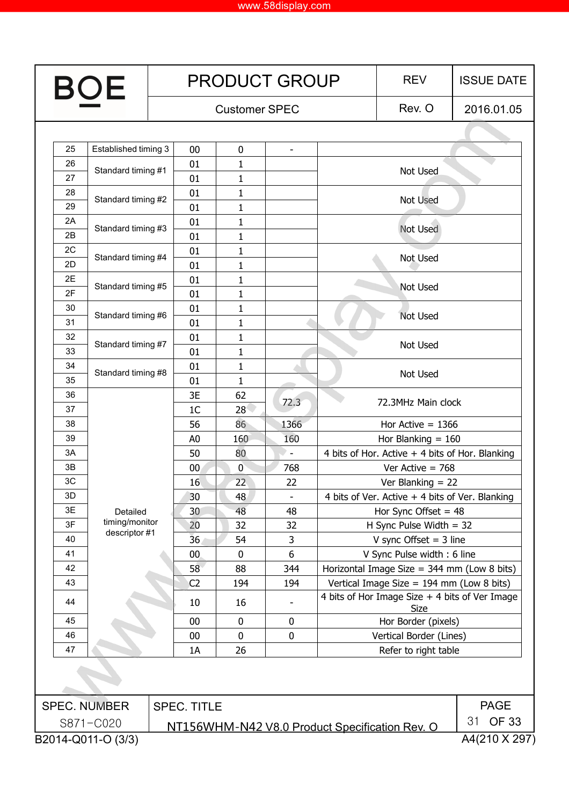| OE |                                 | <b>PRODUCT GROUP</b> |                    |                |                      |  | <b>REV</b>                                                                                                                                                                                     | <b>ISSUE DATE</b>  |
|----|---------------------------------|----------------------|--------------------|----------------|----------------------|--|------------------------------------------------------------------------------------------------------------------------------------------------------------------------------------------------|--------------------|
|    |                                 |                      |                    |                | <b>Customer SPEC</b> |  | Rev. O                                                                                                                                                                                         | 2016.01.05         |
|    |                                 |                      |                    |                |                      |  |                                                                                                                                                                                                |                    |
| 25 | Established timing 3            |                      | 00                 | $\mathbf 0$    |                      |  |                                                                                                                                                                                                |                    |
| 26 | Standard timing #1              |                      | 01                 | 1              |                      |  | Not Used                                                                                                                                                                                       |                    |
| 27 |                                 |                      | 01                 | $\mathbf{1}$   |                      |  |                                                                                                                                                                                                |                    |
| 28 | Standard timing #2              |                      | 01                 | 1              |                      |  | Not Used                                                                                                                                                                                       |                    |
| 29 |                                 |                      | 01                 | 1              |                      |  |                                                                                                                                                                                                |                    |
| 2A | Standard timing #3              |                      | 01                 | 1              |                      |  | Not Used                                                                                                                                                                                       |                    |
| 2B |                                 |                      | 01                 | $\mathbf{1}$   |                      |  |                                                                                                                                                                                                |                    |
| 2C | Standard timing #4              |                      | 01                 | 1              |                      |  | Not Used                                                                                                                                                                                       |                    |
| 2D |                                 |                      | 01                 | 1              |                      |  |                                                                                                                                                                                                |                    |
| 2E | Standard timing #5              |                      | 01                 | 1              |                      |  | <b>Not Used</b>                                                                                                                                                                                |                    |
| 2F |                                 |                      | 01                 | 1              |                      |  |                                                                                                                                                                                                |                    |
| 30 | Standard timing #6              |                      | 01                 | 1              |                      |  | <b>Not Used</b>                                                                                                                                                                                |                    |
| 31 |                                 |                      | 01                 | 1              |                      |  |                                                                                                                                                                                                |                    |
| 32 | Standard timing #7              |                      | 01                 | 1              |                      |  | Not Used                                                                                                                                                                                       |                    |
| 33 |                                 |                      | 01                 | 1              |                      |  |                                                                                                                                                                                                |                    |
| 34 | Standard timing #8              |                      | 01                 | 1              |                      |  | Not Used                                                                                                                                                                                       |                    |
| 35 |                                 |                      | 01                 | 1              |                      |  |                                                                                                                                                                                                |                    |
| 36 |                                 |                      | 3E                 | 62             | 72.3                 |  | 72.3MHz Main clock                                                                                                                                                                             |                    |
| 37 |                                 |                      | 1 <sup>C</sup>     | 28             |                      |  | Hor Active $= 1366$<br>Hor Blanking $= 160$<br>4 bits of Hor. Active + 4 bits of Hor. Blanking<br>Ver Active $= 768$<br>Ver Blanking $= 22$<br>4 bits of Ver. Active + 4 bits of Ver. Blanking |                    |
| 38 |                                 |                      | 56                 | 86             | 1366                 |  |                                                                                                                                                                                                |                    |
| 39 |                                 |                      | A <sub>0</sub>     | 160            | 160                  |  |                                                                                                                                                                                                |                    |
| 3A |                                 |                      | 50                 | 80             | $\sim$               |  |                                                                                                                                                                                                |                    |
| 3B |                                 |                      | 00 <sub>0</sub>    | $\overline{0}$ | 768                  |  |                                                                                                                                                                                                |                    |
| 3C |                                 |                      | 16                 | 22             | 22                   |  |                                                                                                                                                                                                |                    |
| 3D |                                 |                      | 30                 | 48             | L.                   |  |                                                                                                                                                                                                |                    |
| 3E | Detailed                        |                      | 30                 | 48             | 48                   |  | Hor Sync Offset $= 48$                                                                                                                                                                         |                    |
| 3F | timing/monitor<br>descriptor #1 |                      | 20                 | 32             | 32                   |  | H Sync Pulse Width $=$ 32                                                                                                                                                                      |                    |
| 40 |                                 |                      | 36                 | 54             | 3                    |  | V sync Offset $=$ 3 line                                                                                                                                                                       |                    |
| 41 |                                 |                      | $00\,$             | $\mathbf 0$    | 6                    |  | V Sync Pulse width: 6 line                                                                                                                                                                     |                    |
| 42 |                                 |                      | 58                 | 88             | 344                  |  | Horizontal Image Size = $344$ mm (Low 8 bits)                                                                                                                                                  |                    |
| 43 |                                 |                      | C <sub>2</sub>     | 194            | 194                  |  | Vertical Image Size = $194$ mm (Low 8 bits)                                                                                                                                                    |                    |
| 44 |                                 |                      | 10                 | 16             |                      |  | 4 bits of Hor Image Size + 4 bits of Ver Image<br>Size                                                                                                                                         |                    |
| 45 |                                 |                      | 00                 | $\mathbf 0$    | 0                    |  | Hor Border (pixels)                                                                                                                                                                            |                    |
| 46 |                                 | 00                   |                    | $\mathbf 0$    | $\pmb{0}$            |  | Vertical Border (Lines)                                                                                                                                                                        |                    |
| 47 |                                 |                      | 1A                 | 26             |                      |  | Refer to right table                                                                                                                                                                           |                    |
|    |                                 |                      |                    |                |                      |  |                                                                                                                                                                                                |                    |
|    | <b>SPEC. NUMBER</b>             |                      | <b>SPEC. TITLE</b> |                |                      |  |                                                                                                                                                                                                | <b>PAGE</b>        |
|    | S871-C020                       |                      |                    |                |                      |  | NT156WHM-N42 V8.0 Product Specification Rev. O                                                                                                                                                 | <b>OF 33</b><br>31 |
|    | B2014-Q011-O (3/3)              |                      |                    |                |                      |  |                                                                                                                                                                                                | A4(210 X 297)      |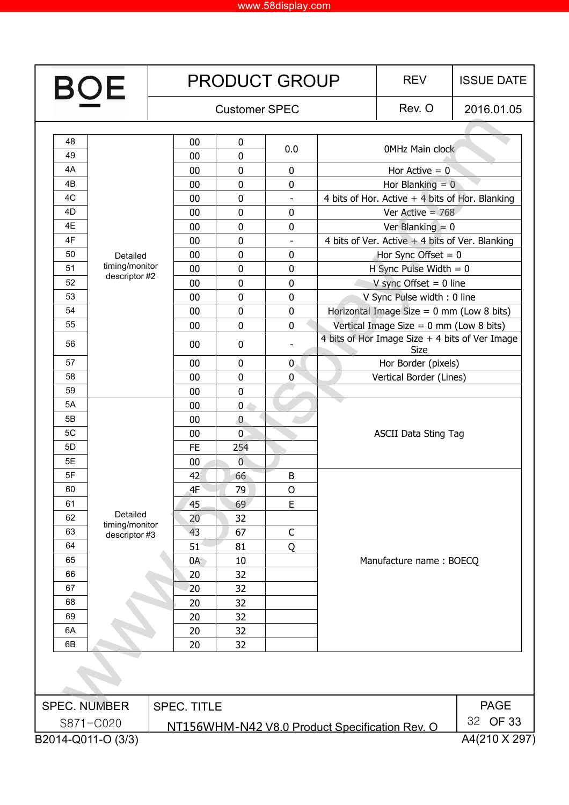| <b>BOE</b>                          |                                 |  |                      |                | <b>PRODUCT GROUP</b> | <b>REV</b> | <b>ISSUE DATE</b>                                      |             |  |
|-------------------------------------|---------------------------------|--|----------------------|----------------|----------------------|------------|--------------------------------------------------------|-------------|--|
|                                     |                                 |  | <b>Customer SPEC</b> |                |                      |            | Rev. O                                                 | 2016.01.05  |  |
| 48                                  |                                 |  | $00\,$               | 0              |                      |            |                                                        |             |  |
| 49                                  |                                 |  | 00                   | 0              | 0.0                  |            | <b>OMHz Main clock</b>                                 |             |  |
| 4A                                  |                                 |  | $00\,$               | $\mathbf 0$    | 0                    |            | Hor Active $= 0$                                       |             |  |
| 4B                                  |                                 |  | $00\,$               | 0              | 0                    |            | Hor Blanking $= 0$                                     |             |  |
| 4C                                  |                                 |  | 00                   | 0              | ÷,                   |            | 4 bits of Hor. Active $+$ 4 bits of Hor. Blanking      |             |  |
| 4D                                  |                                 |  | 00                   | $\mathbf 0$    | $\pmb{0}$            |            | Ver Active $= 768$                                     |             |  |
| 4E                                  |                                 |  | 00                   | $\mathbf 0$    | 0                    |            | Ver Blanking = $0$                                     |             |  |
| 4F                                  |                                 |  | 00                   | $\mathbf 0$    |                      |            | 4 bits of Ver. Active $+$ 4 bits of Ver. Blanking      |             |  |
| 50                                  | Detailed                        |  | 00                   | 0              | 0                    |            | Hor Sync Offset $= 0$                                  |             |  |
| 51                                  | timing/monitor<br>descriptor #2 |  | 00                   | $\pmb{0}$      | 0                    |            | H Sync Pulse Width $= 0$                               |             |  |
| 52                                  |                                 |  | 00                   | $\mathbf 0$    | 0                    |            | V sync Offset $= 0$ line                               |             |  |
| 53                                  |                                 |  | 00                   | $\mathbf 0$    | 0                    |            | V Sync Pulse width: 0 line                             |             |  |
| 54                                  |                                 |  | 00                   | $\mathbf 0$    | $\pmb{0}$            |            | Horizontal Image Size = $0 \text{ mm}$ (Low 8 bits)    |             |  |
| 55                                  |                                 |  | 00                   | 0              | $\pmb{0}$            |            | Vertical Image Size = $0 \text{ mm}$ (Low 8 bits)      |             |  |
| 56                                  |                                 |  | 00                   | 0              |                      |            | 4 bits of Hor Image Size + 4 bits of Ver Image<br>Size |             |  |
| 57                                  |                                 |  | 00                   | 0              | $\mathbf{0}$         |            | Hor Border (pixels)                                    |             |  |
| 58                                  |                                 |  | 00                   | $\mathbf 0$    | 0                    |            | Vertical Border (Lines)                                |             |  |
| 59                                  |                                 |  | 00                   | 0              |                      |            |                                                        |             |  |
| 5A                                  |                                 |  | 00                   | 0.             |                      |            |                                                        |             |  |
| 5B                                  |                                 |  | $00\,$               | $\mathbf{0}$   |                      |            | <b>ASCII Data Sting Tag</b>                            |             |  |
| 5C                                  |                                 |  | $00\,$               | $\overline{0}$ |                      |            |                                                        |             |  |
| 5D                                  |                                 |  | <b>FE</b>            | 254            |                      |            |                                                        |             |  |
| 5E                                  |                                 |  | 00                   | $\overline{0}$ |                      |            |                                                        |             |  |
| 5F                                  |                                 |  | 42                   | 66             | B                    |            |                                                        |             |  |
| 60                                  |                                 |  | 4F                   | 79             | 0                    |            |                                                        |             |  |
| 61                                  |                                 |  | 45                   | 69             | E                    |            |                                                        |             |  |
| 62                                  | Detailed<br>timing/monitor      |  | 20                   | 32             |                      |            |                                                        |             |  |
| 63                                  | descriptor #3                   |  | 43                   | 67             | $\mathsf C$          |            |                                                        |             |  |
| 64                                  |                                 |  | 51                   | 81             | Q                    |            |                                                        |             |  |
| 65                                  |                                 |  | 0A                   | 10             |                      |            | Manufacture name: BOECQ                                |             |  |
| 66                                  |                                 |  | 20                   | 32             |                      |            |                                                        |             |  |
| 67                                  |                                 |  | 20                   | 32             |                      |            |                                                        |             |  |
| 68                                  |                                 |  | 20                   | 32             |                      |            |                                                        |             |  |
| 69                                  |                                 |  | 20                   | 32             |                      |            |                                                        |             |  |
|                                     | 6A                              |  | 20                   | 32             |                      |            |                                                        |             |  |
| 6B                                  |                                 |  | 20                   | 32             |                      |            |                                                        |             |  |
|                                     |                                 |  |                      |                |                      |            |                                                        |             |  |
| <b>SPEC. NUMBER</b>                 |                                 |  | <b>SPEC. TITLE</b>   |                |                      |            |                                                        | <b>PAGE</b> |  |
| 32 OF 33<br>S871-C020               |                                 |  |                      |                |                      |            |                                                        |             |  |
|                                     |                                 |  |                      |                |                      |            | NT156WHM-N42 V8.0 Product Specification Rev. O         |             |  |
| B2014-Q011-O (3/3)<br>A4(210 X 297) |                                 |  |                      |                |                      |            |                                                        |             |  |